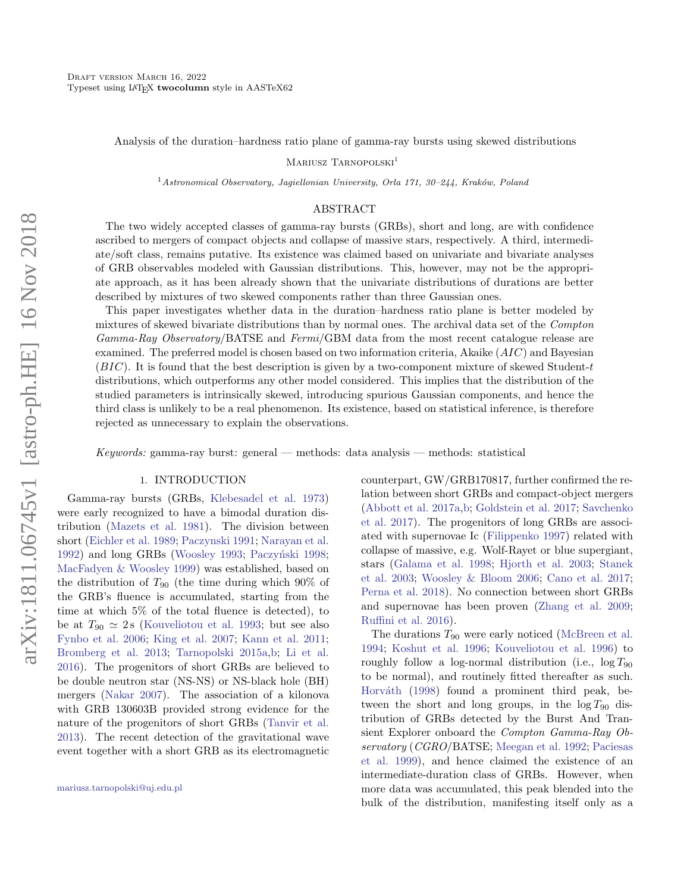Analysis of the duration–hardness ratio plane of gamma-ray bursts using skewed distributions

MARIUSZ TARNOPOLSKI<sup>1</sup>

<sup>1</sup> Astronomical Observatory, Jagiellonian University, Orla 171, 30–244, Kraków, Poland

### ABSTRACT

The two widely accepted classes of gamma-ray bursts (GRBs), short and long, are with confidence ascribed to mergers of compact objects and collapse of massive stars, respectively. A third, intermediate/soft class, remains putative. Its existence was claimed based on univariate and bivariate analyses of GRB observables modeled with Gaussian distributions. This, however, may not be the appropriate approach, as it has been already shown that the univariate distributions of durations are better described by mixtures of two skewed components rather than three Gaussian ones.

This paper investigates whether data in the duration–hardness ratio plane is better modeled by mixtures of skewed bivariate distributions than by normal ones. The archival data set of the Compton  $Gamma\,Ray\,Observatory/BATSE$  and  $Fermi/GBM$  data from the most recent catalogue release are examined. The preferred model is chosen based on two information criteria, Akaike (AIC) and Bayesian (BIC). It is found that the best description is given by a two-component mixture of skewed Student-t distributions, which outperforms any other model considered. This implies that the distribution of the studied parameters is intrinsically skewed, introducing spurious Gaussian components, and hence the third class is unlikely to be a real phenomenon. Its existence, based on statistical inference, is therefore rejected as unnecessary to explain the observations.

Keywords: gamma-ray burst: general — methods: data analysis — methods: statistical

#### 1. INTRODUCTION

<span id="page-0-0"></span>Gamma-ray bursts (GRBs, [Klebesadel et al.](#page-12-0) [1973\)](#page-12-0) were early recognized to have a bimodal duration distribution [\(Mazets et al.](#page-13-0) [1981\)](#page-13-0). The division between short [\(Eichler et al.](#page-12-1) [1989;](#page-12-1) [Paczynski](#page-13-1) [1991;](#page-13-1) [Narayan et al.](#page-13-2) [1992\)](#page-13-2) and long GRBs [\(Woosley](#page-13-3) [1993;](#page-13-3) Paczyński [1998;](#page-13-4) [MacFadyen & Woosley](#page-13-5) [1999\)](#page-13-5) was established, based on the distribution of  $T_{90}$  (the time during which 90% of the GRB's fluence is accumulated, starting from the time at which 5% of the total fluence is detected), to be at  $T_{90} \simeq 2$  s [\(Kouveliotou et al.](#page-12-2) [1993;](#page-12-2) but see also [Fynbo et al.](#page-12-3) [2006;](#page-12-3) [King et al.](#page-12-4) [2007;](#page-12-4) [Kann et al.](#page-12-5) [2011;](#page-12-5) [Bromberg et al.](#page-11-0) [2013;](#page-11-0) [Tarnopolski](#page-13-6) [2015a,](#page-13-6)[b;](#page-13-7) [Li et al.](#page-13-8) [2016\)](#page-13-8). The progenitors of short GRBs are believed to be double neutron star (NS-NS) or NS-black hole (BH) mergers [\(Nakar](#page-13-9) [2007\)](#page-13-9). The association of a kilonova with GRB 130603B provided strong evidence for the nature of the progenitors of short GRBs [\(Tanvir et al.](#page-13-10) [2013\)](#page-13-10). The recent detection of the gravitational wave event together with a short GRB as its electromagnetic counterpart, GW/GRB170817, further confirmed the relation between short GRBs and compact-object mergers [\(Abbott et al.](#page-11-1) [2017a](#page-11-1)[,b;](#page-11-2) [Goldstein et al.](#page-12-6) [2017;](#page-12-6) [Savchenko](#page-13-11) [et al.](#page-13-11) [2017\)](#page-13-11). The progenitors of long GRBs are associated with supernovae Ic [\(Filippenko](#page-12-7) [1997\)](#page-12-7) related with collapse of massive, e.g. Wolf-Rayet or blue supergiant, stars [\(Galama et al.](#page-12-8) [1998;](#page-12-8) [Hjorth et al.](#page-12-9) [2003;](#page-12-9) [Stanek](#page-13-12) [et al.](#page-13-12) [2003;](#page-13-12) [Woosley & Bloom](#page-13-13) [2006;](#page-13-13) [Cano et al.](#page-11-3) [2017;](#page-11-3) [Perna et al.](#page-13-14) [2018\)](#page-13-14). No connection between short GRBs and supernovae has been proven [\(Zhang et al.](#page-13-15) [2009;](#page-13-15) [Ruffini et al.](#page-13-16) [2016\)](#page-13-16).

The durations  $T_{90}$  were early noticed [\(McBreen et al.](#page-13-17) [1994;](#page-13-17) [Koshut et al.](#page-12-10) [1996;](#page-12-10) [Kouveliotou et al.](#page-12-11) [1996\)](#page-12-11) to roughly follow a log-normal distribution (i.e.,  $\log T_{90}$ to be normal), and routinely fitted thereafter as such. Horváth [\(1998\)](#page-12-12) found a prominent third peak, between the short and long groups, in the  $\log T_{90}$  distribution of GRBs detected by the Burst And Transient Explorer onboard the Compton Gamma-Ray Observatory (CGRO/BATSE; [Meegan et al.](#page-13-18) [1992;](#page-13-18) [Paciesas](#page-13-19) [et al.](#page-13-19) [1999\)](#page-13-19), and hence claimed the existence of an intermediate-duration class of GRBs. However, when more data was accumulated, this peak blended into the bulk of the distribution, manifesting itself only as a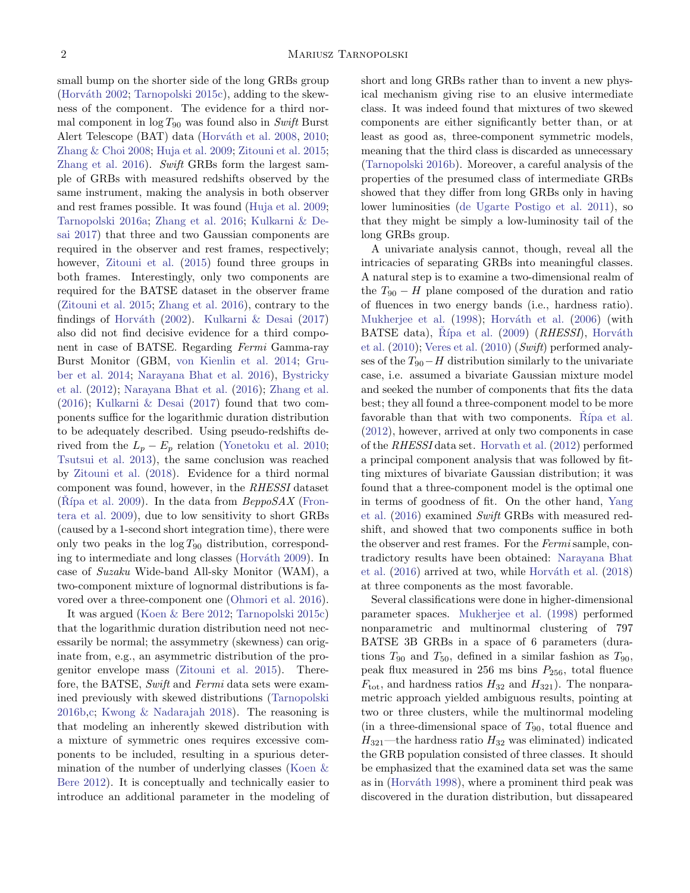small bump on the shorter side of the long GRBs group (Horváth [2002;](#page-12-13) [Tarnopolski](#page-13-20) [2015c\)](#page-13-20), adding to the skewness of the component. The evidence for a third normal component in  $\log T_{90}$  was found also in Swift Burst Alert Telescope (BAT) data (Horváth et al. [2008,](#page-12-14) [2010;](#page-12-15) [Zhang & Choi](#page-14-0) [2008;](#page-14-0) [Huja et al.](#page-12-16) [2009;](#page-12-16) [Zitouni et al.](#page-14-1) [2015;](#page-14-1) [Zhang et al.](#page-14-2) [2016\)](#page-14-2). Swift GRBs form the largest sample of GRBs with measured redshifts observed by the same instrument, making the analysis in both observer and rest frames possible. It was found [\(Huja et al.](#page-12-16) [2009;](#page-12-16) [Tarnopolski](#page-13-21) [2016a;](#page-13-21) [Zhang et al.](#page-14-2) [2016;](#page-14-2) [Kulkarni & De](#page-12-17)[sai](#page-12-17) [2017\)](#page-12-17) that three and two Gaussian components are required in the observer and rest frames, respectively; however, [Zitouni et al.](#page-14-1) [\(2015\)](#page-14-1) found three groups in both frames. Interestingly, only two components are required for the BATSE dataset in the observer frame [\(Zitouni et al.](#page-14-1) [2015;](#page-14-1) [Zhang et al.](#page-14-2) [2016\)](#page-14-2), contrary to the findings of Horváth [\(2002\)](#page-12-13). Kulkarni  $\&$  Desai [\(2017\)](#page-12-17) also did not find decisive evidence for a third component in case of BATSE. Regarding Fermi Gamma-ray Burst Monitor (GBM, [von Kienlin et al.](#page-13-22) [2014;](#page-13-22) [Gru](#page-12-18)[ber et al.](#page-12-18) [2014;](#page-12-18) [Narayana Bhat et al.](#page-13-23) [2016\)](#page-13-23), [Bystricky](#page-11-4) [et al.](#page-11-4) [\(2012\)](#page-11-4); [Narayana Bhat et al.](#page-13-23) [\(2016\)](#page-13-23); [Zhang et al.](#page-14-2) [\(2016\)](#page-14-2); [Kulkarni & Desai](#page-12-17) [\(2017\)](#page-12-17) found that two components suffice for the logarithmic duration distribution to be adequately described. Using pseudo-redshifts derived from the  $L_p - E_p$  relation [\(Yonetoku et al.](#page-13-24) [2010;](#page-13-24) [Tsutsui et al.](#page-13-25) [2013\)](#page-13-25), the same conclusion was reached by [Zitouni et al.](#page-14-3) [\(2018\)](#page-14-3). Evidence for a third normal component was found, however, in the RHESSI dataset (Rípa et al. [2009\)](#page-13-26). In the data from  $BeppoSAX$  [\(Fron](#page-12-19)[tera et al.](#page-12-19) [2009\)](#page-12-19), due to low sensitivity to short GRBs (caused by a 1-second short integration time), there were only two peaks in the  $\log T_{90}$  distribution, correspond-ing to intermediate and long classes (Horváth [2009\)](#page-12-20). In case of Suzaku Wide-band All-sky Monitor (WAM), a two-component mixture of lognormal distributions is favored over a three-component one [\(Ohmori et al.](#page-13-27) [2016\)](#page-13-27).

It was argued [\(Koen & Bere](#page-12-21) [2012;](#page-12-21) [Tarnopolski](#page-13-20) [2015c\)](#page-13-20) that the logarithmic duration distribution need not necessarily be normal; the assymmetry (skewness) can originate from, e.g., an asymmetric distribution of the progenitor envelope mass [\(Zitouni et al.](#page-14-1) [2015\)](#page-14-1). Therefore, the BATSE, Swift and Fermi data sets were examined previously with skewed distributions [\(Tarnopolski](#page-13-28) [2016b](#page-13-28)[,c;](#page-13-29) [Kwong & Nadarajah](#page-12-22) [2018\)](#page-12-22). The reasoning is that modeling an inherently skewed distribution with a mixture of symmetric ones requires excessive components to be included, resulting in a spurious determination of the number of underlying classes [\(Koen &](#page-12-21) [Bere](#page-12-21) [2012\)](#page-12-21). It is conceptually and technically easier to introduce an additional parameter in the modeling of short and long GRBs rather than to invent a new physical mechanism giving rise to an elusive intermediate class. It was indeed found that mixtures of two skewed components are either significantly better than, or at least as good as, three-component symmetric models, meaning that the third class is discarded as unnecessary [\(Tarnopolski](#page-13-28) [2016b\)](#page-13-28). Moreover, a careful analysis of the properties of the presumed class of intermediate GRBs showed that they differ from long GRBs only in having lower luminosities [\(de Ugarte Postigo et al.](#page-12-23) [2011\)](#page-12-23), so that they might be simply a low-luminosity tail of the long GRBs group.

A univariate analysis cannot, though, reveal all the intricacies of separating GRBs into meaningful classes. A natural step is to examine a two-dimensional realm of the  $T_{90} - H$  plane composed of the duration and ratio of fluences in two energy bands (i.e., hardness ratio). [Mukherjee et al.](#page-13-30) [\(1998\)](#page-13-30); Horváth et al. [\(2006\)](#page-12-24) (with BATSE data), Řípa et al.  $(2009)$   $(RHESSI)$ , Horváth [et al.](#page-12-15) [\(2010\)](#page-12-15); [Veres et al.](#page-13-31) [\(2010\)](#page-13-31) (Swift) performed analyses of the  $T_{90}$ −H distribution similarly to the univariate case, i.e. assumed a bivariate Gaussian mixture model and seeked the number of components that fits the data best; they all found a three-component model to be more favorable than that with two components. Rípa et al. [\(2012\)](#page-13-32), however, arrived at only two components in case of the RHESSI data set. [Horvath et al.](#page-12-25) [\(2012\)](#page-12-25) performed a principal component analysis that was followed by fitting mixtures of bivariate Gaussian distribution; it was found that a three-component model is the optimal one in terms of goodness of fit. On the other hand, [Yang](#page-13-33) [et al.](#page-13-33) [\(2016\)](#page-13-33) examined Swift GRBs with measured redshift, and showed that two components suffice in both the observer and rest frames. For the Fermi sample, contradictory results have been obtained: [Narayana Bhat](#page-13-23) [et al.](#page-13-23)  $(2016)$  arrived at two, while Horváth et al.  $(2018)$ at three components as the most favorable.

Several classifications were done in higher-dimensional parameter spaces. [Mukherjee et al.](#page-13-30) [\(1998\)](#page-13-30) performed nonparametric and multinormal clustering of 797 BATSE 3B GRBs in a space of 6 parameters (durations  $T_{90}$  and  $T_{50}$ , defined in a similar fashion as  $T_{90}$ , peak flux measured in 256 ms bins  $P_{256}$ , total fluence  $F_{\text{tot}}$ , and hardness ratios  $H_{32}$  and  $H_{321}$ ). The nonparametric approach yielded ambiguous results, pointing at two or three clusters, while the multinormal modeling (in a three-dimensional space of  $T_{90}$ , total fluence and  $H_{321}$ —the hardness ratio  $H_{32}$  was eliminated) indicated the GRB population consisted of three classes. It should be emphasized that the examined data set was the same as in (Horváth [1998\)](#page-12-12), where a prominent third peak was discovered in the duration distribution, but dissapeared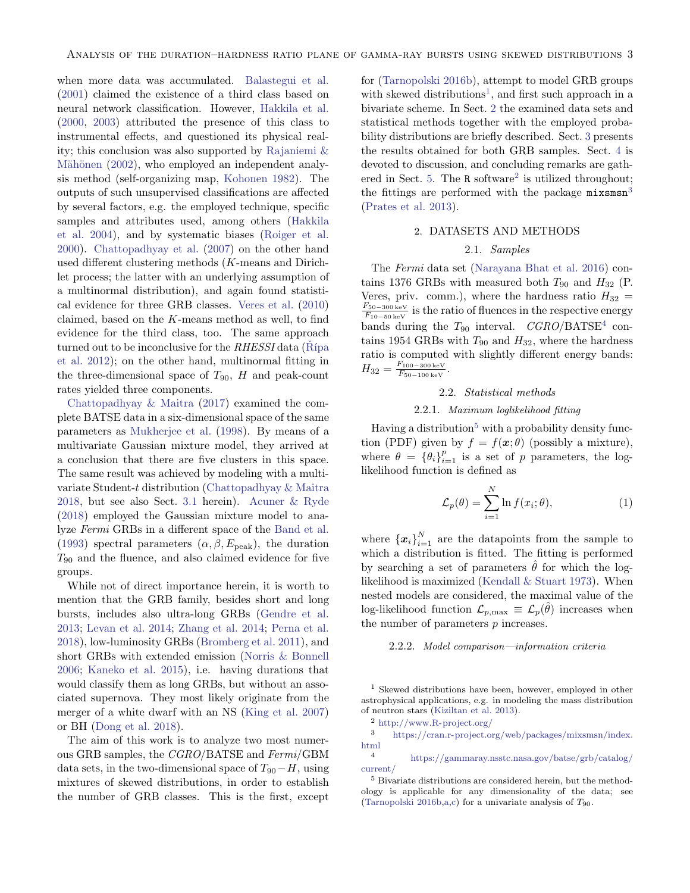when more data was accumulated. [Balastegui et al.](#page-11-5) [\(2001\)](#page-11-5) claimed the existence of a third class based on neural network classification. However, [Hakkila et al.](#page-12-27) [\(2000,](#page-12-27) [2003\)](#page-12-28) attributed the presence of this class to instrumental effects, and questioned its physical reality; this conclusion was also supported by [Rajaniemi &](#page-13-34) Mähönen [\(2002\)](#page-13-34), who employed an independent analysis method (self-organizing map, [Kohonen](#page-12-29) [1982\)](#page-12-29). The outputs of such unsupervised classifications are affected by several factors, e.g. the employed technique, specific samples and attributes used, among others [\(Hakkila](#page-12-30) [et al.](#page-12-30) [2004\)](#page-12-30), and by systematic biases [\(Roiger et al.](#page-13-35) [2000\)](#page-13-35). [Chattopadhyay et al.](#page-11-6) [\(2007\)](#page-11-6) on the other hand used different clustering methods (K-means and Dirichlet process; the latter with an underlying assumption of a multinormal distribution), and again found statistical evidence for three GRB classes. [Veres et al.](#page-13-31) [\(2010\)](#page-13-31) claimed, based on the K-means method as well, to find evidence for the third class, too. The same approach turned out to be inconclusive for the  $RHESSI$  data (Rípa [et al.](#page-13-32) [2012\)](#page-13-32); on the other hand, multinormal fitting in the three-dimensional space of  $T_{90}$ , H and peak-count rates yielded three components.

[Chattopadhyay & Maitra](#page-11-7) [\(2017\)](#page-11-7) examined the complete BATSE data in a six-dimensional space of the same parameters as [Mukherjee et al.](#page-13-30) [\(1998\)](#page-13-30). By means of a multivariate Gaussian mixture model, they arrived at a conclusion that there are five clusters in this space. The same result was achieved by modeling with a multivariate Student-t distribution [\(Chattopadhyay & Maitra](#page-11-8) [2018,](#page-11-8) but see also Sect. [3.1](#page-4-0) herein). [Acuner & Ryde](#page-11-9) [\(2018\)](#page-11-9) employed the Gaussian mixture model to analyze Fermi GRBs in a different space of the [Band et al.](#page-11-10) [\(1993\)](#page-11-10) spectral parameters  $(\alpha, \beta, E_{\text{peak}})$ , the duration  $T_{90}$  and the fluence, and also claimed evidence for five groups.

While not of direct importance herein, it is worth to mention that the GRB family, besides short and long bursts, includes also ultra-long GRBs [\(Gendre et al.](#page-12-31) [2013;](#page-12-31) [Levan et al.](#page-12-32) [2014;](#page-12-32) [Zhang et al.](#page-14-4) [2014;](#page-14-4) [Perna et al.](#page-13-14) [2018\)](#page-13-14), low-luminosity GRBs [\(Bromberg et al.](#page-11-11) [2011\)](#page-11-11), and short GRBs with extended emission [\(Norris & Bonnell](#page-13-36) [2006;](#page-13-36) [Kaneko et al.](#page-12-33) [2015\)](#page-12-33), i.e. having durations that would classify them as long GRBs, but without an associated supernova. They most likely originate from the merger of a white dwarf with an NS [\(King et al.](#page-12-4) [2007\)](#page-12-4) or BH [\(Dong et al.](#page-12-34) [2018\)](#page-12-34).

The aim of this work is to analyze two most numerous GRB samples, the CGRO/BATSE and Fermi/GBM data sets, in the two-dimensional space of  $T_{90}-H$ , using mixtures of skewed distributions, in order to establish the number of GRB classes. This is the first, except

for [\(Tarnopolski](#page-13-28) [2016b\)](#page-13-28), attempt to model GRB groups with skewed distributions<sup>[1](#page-2-0)</sup>, and first such approach in a bivariate scheme. In Sect. [2](#page-2-1) the examined data sets and statistical methods together with the employed probability distributions are briefly described. Sect. [3](#page-4-1) presents the results obtained for both GRB samples. Sect. [4](#page-7-0) is devoted to discussion, and concluding remarks are gath-ered in Sect. [5.](#page-11-12) The  $R$  software<sup>[2](#page-2-2)</sup> is utilized throughout; the fittings are performed with the package  $\text{mixsmsn}^3$  $\text{mixsmsn}^3$ [\(Prates et al.](#page-13-37) [2013\)](#page-13-37).

## 2. DATASETS AND METHODS

## 2.1. Samples

<span id="page-2-1"></span>The Fermi data set [\(Narayana Bhat et al.](#page-13-23) [2016\)](#page-13-23) contains 1376 GRBs with measured both  $T_{90}$  and  $H_{32}$  (P. Veres, priv. comm.), where the hardness ratio  $H_{32}$  =  $F_{50-300\,\mathrm{keV}}$  $\frac{F_{50-300 \text{ keV}}}{F_{10-50 \text{ keV}}}$  is the ratio of fluences in the respective energy bands during the  $T_{90}$  interval.  $CGRO/BATSE<sup>4</sup>$  $CGRO/BATSE<sup>4</sup>$  $CGRO/BATSE<sup>4</sup>$  contains 1954 GRBs with  $T_{90}$  and  $H_{32}$ , where the hardness ratio is computed with slightly different energy bands:  $H_{32} = \frac{F_{100-300\,\mathrm{keV}}}{F_{50-100\,\mathrm{keV}}}$  $F_{50-100\,\mathrm{keV}}$ .

#### 2.2. Statistical methods

# 2.2.1. Maximum loglikelihood fitting

Having a distribution<sup>[5](#page-2-5)</sup> with a probability density function (PDF) given by  $f = f(x; \theta)$  (possibly a mixture), where  $\theta = {\theta_i}_{i=1}^p$  is a set of p parameters, the loglikelihood function is defined as

$$
\mathcal{L}_p(\theta) = \sum_{i=1}^N \ln f(x_i; \theta), \tag{1}
$$

where  ${x_i}_{i=1}^N$  are the datapoints from the sample to which a distribution is fitted. The fitting is performed by searching a set of parameters  $\hat{\theta}$  for which the loglikelihood is maximized [\(Kendall & Stuart](#page-12-35) [1973\)](#page-12-35). When nested models are considered, the maximal value of the log-likelihood function  $\mathcal{L}_{p,\text{max}} \equiv \mathcal{L}_p(\hat{\theta})$  increases when the number of parameters  $p$  increases.

## 2.2.2. Model comparison—information criteria

<span id="page-2-0"></span><sup>1</sup> Skewed distributions have been, however, employed in other astrophysical applications, e.g. in modeling the mass distribution of neutron stars [\(Kiziltan et al.](#page-12-36) [2013\)](#page-12-36).

<span id="page-2-3"></span><span id="page-2-2"></span>
$$
^{2} \ \mathrm{http://www.R-project.org/}
$$

<sup>3</sup> [https://cran.r-project.org/web/packages/mixsmsn/index.](https://cran.r-project.org/web/packages/mixsmsn/index.html) [html](https://cran.r-project.org/web/packages/mixsmsn/index.html)

<span id="page-2-4"></span><sup>4</sup> [https://gammaray.nsstc.nasa.gov/batse/grb/catalog/](https://gammaray.nsstc.nasa.gov/batse/grb/catalog/current/) [current/](https://gammaray.nsstc.nasa.gov/batse/grb/catalog/current/)

<span id="page-2-5"></span><sup>5</sup> Bivariate distributions are considered herein, but the methodology is applicable for any dimensionality of the data; see [\(Tarnopolski](#page-13-28) [2016b](#page-13-28)[,a](#page-13-21)[,c\)](#page-13-29) for a univariate analysis of  $T_{90}$ .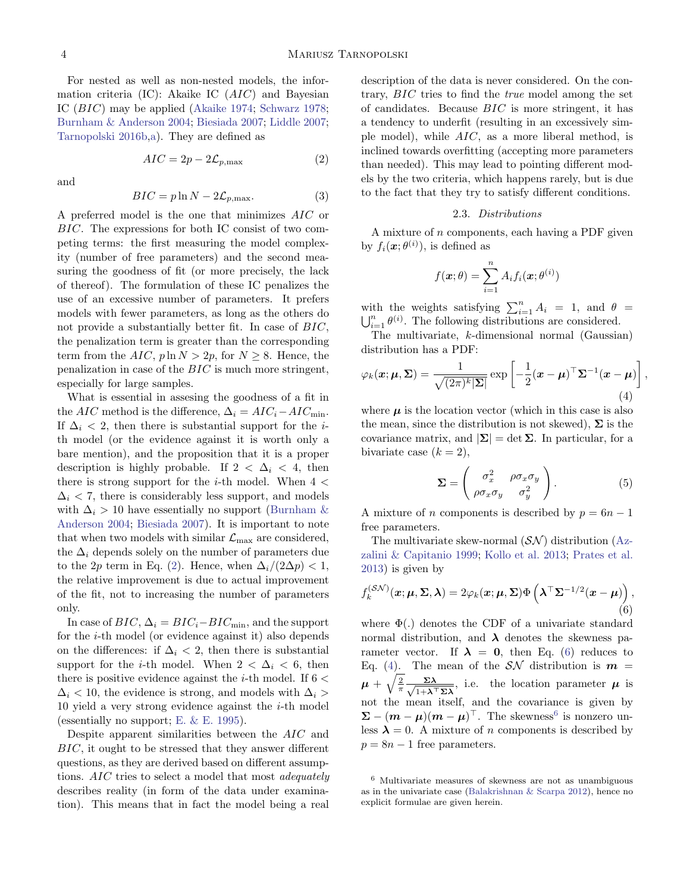For nested as well as non-nested models, the information criteria  $(IC)$ : Akaike IC  $(AIC)$  and Bayesian IC (BIC) may be applied [\(Akaike](#page-11-13) [1974;](#page-11-13) [Schwarz](#page-13-38) [1978;](#page-13-38) [Burnham & Anderson](#page-11-14) [2004;](#page-11-14) [Biesiada](#page-11-15) [2007;](#page-11-15) [Liddle](#page-13-39) [2007;](#page-13-39) [Tarnopolski](#page-13-28) [2016b,](#page-13-28)[a\)](#page-13-21). They are defined as

$$
AIC = 2p - 2\mathcal{L}_{p,\text{max}}\tag{2}
$$

and

$$
BIC = p \ln N - 2\mathcal{L}_{p,\text{max}}.\tag{3}
$$

A preferred model is the one that minimizes AIC or BIC. The expressions for both IC consist of two competing terms: the first measuring the model complexity (number of free parameters) and the second measuring the goodness of fit (or more precisely, the lack of thereof). The formulation of these IC penalizes the use of an excessive number of parameters. It prefers models with fewer parameters, as long as the others do not provide a substantially better fit. In case of BIC, the penalization term is greater than the corresponding term from the  $AIC$ ,  $p \ln N > 2p$ , for  $N \geq 8$ . Hence, the penalization in case of the BIC is much more stringent, especially for large samples.

What is essential in assesing the goodness of a fit in the AIC method is the difference,  $\Delta_i = AIC_i - AIC_{\text{min}}$ . If  $\Delta_i$  < 2, then there is substantial support for the *i*th model (or the evidence against it is worth only a bare mention), and the proposition that it is a proper description is highly probable. If  $2 < \Delta_i < 4$ , then there is strong support for the *i*-th model. When  $4 <$  $\Delta_i$  < 7, there is considerably less support, and models with  $\Delta_i > 10$  have essentially no support [\(Burnham &](#page-11-14) [Anderson](#page-11-14) [2004;](#page-11-14) [Biesiada](#page-11-15) [2007\)](#page-11-15). It is important to note that when two models with similar  $\mathcal{L}_{\text{max}}$  are considered, the  $\Delta_i$  depends solely on the number of parameters due to the 2p term in Eq. [\(2\)](#page-3-0). Hence, when  $\Delta_i/(2\Delta p) < 1$ , the relative improvement is due to actual improvement of the fit, not to increasing the number of parameters only.

In case of  $BIC$ ,  $\Delta_i = BIC_i - BIC_{\min}$ , and the support for the i-th model (or evidence against it) also depends on the differences: if  $\Delta_i$  < 2, then there is substantial support for the *i*-th model. When  $2 < \Delta_i < 6$ , then there is positive evidence against the *i*-th model. If  $6 <$  $\Delta_i$  < 10, the evidence is strong, and models with  $\Delta_i$  > 10 yield a very strong evidence against the  $i$ -th model (essentially no support; E.  $&$  E. [1995\)](#page-12-37).

Despite apparent similarities between the AIC and BIC, it ought to be stressed that they answer different questions, as they are derived based on different assumptions. AIC tries to select a model that most *adequately* describes reality (in form of the data under examination). This means that in fact the model being a real

<span id="page-3-0"></span>description of the data is never considered. On the contrary, BIC tries to find the true model among the set of candidates. Because BIC is more stringent, it has a tendency to underfit (resulting in an excessively simple model), while  $AIC$ , as a more liberal method, is inclined towards overfitting (accepting more parameters than needed). This may lead to pointing different models by the two criteria, which happens rarely, but is due to the fact that they try to satisfy different conditions.

#### 2.3. Distributions

<span id="page-3-4"></span>A mixture of n components, each having a PDF given by  $f_i(\boldsymbol{x}; \theta^{(i)})$ , is defined as

<span id="page-3-2"></span>
$$
f(\boldsymbol{x};\theta) = \sum_{i=1}^{n} A_i f_i(\boldsymbol{x};\theta^{(i)})
$$

with the weights satisfying  $\sum_{i=1}^{n} A_i = 1$ , and  $\theta = \bigcup_{i=1}^{n} \theta^{(i)}$ . The following distributions are considered.  $\sum_{i=1}^{n} \theta^{(i)}$ . The following distributions are considered.

The multivariate, k-dimensional normal (Gaussian) distribution has a PDF:

$$
\varphi_k(\boldsymbol{x}; \boldsymbol{\mu}, \boldsymbol{\Sigma}) = \frac{1}{\sqrt{(2\pi)^k |\boldsymbol{\Sigma}|}} \exp\left[-\frac{1}{2}(\boldsymbol{x} - \boldsymbol{\mu})^\top \boldsymbol{\Sigma}^{-1}(\boldsymbol{x} - \boldsymbol{\mu})\right],\tag{4}
$$

where  $\mu$  is the location vector (which in this case is also the mean, since the distribution is not skewed),  $\Sigma$  is the covariance matrix, and  $|\Sigma| = \det \Sigma$ . In particular, for a bivariate case  $(k = 2)$ ,

$$
\Sigma = \begin{pmatrix} \sigma_x^2 & \rho \sigma_x \sigma_y \\ \rho \sigma_x \sigma_y & \sigma_y^2 \end{pmatrix} . \tag{5}
$$

A mixture of *n* components is described by  $p = 6n - 1$ free parameters.

<span id="page-3-1"></span>The multivariate skew-normal  $(SN)$  distribution [\(Az](#page-11-16)[zalini & Capitanio](#page-11-16) [1999;](#page-11-16) [Kollo et al.](#page-12-38) [2013;](#page-12-38) [Prates et al.](#page-13-37) [2013\)](#page-13-37) is given by

$$
f_k^{(\mathcal{SN})}(\boldsymbol{x}; \boldsymbol{\mu}, \boldsymbol{\Sigma}, \boldsymbol{\lambda}) = 2\varphi_k(\boldsymbol{x}; \boldsymbol{\mu}, \boldsymbol{\Sigma}) \Phi\left(\boldsymbol{\lambda}^\top \boldsymbol{\Sigma}^{-1/2} (\boldsymbol{x} - \boldsymbol{\mu})\right),\tag{6}
$$

where  $\Phi(.)$  denotes the CDF of a univariate standard normal distribution, and  $\lambda$  denotes the skewness parameter vector. If  $\lambda = 0$ , then Eq. [\(6\)](#page-3-1) reduces to Eq. [\(4\)](#page-3-2). The mean of the  $S\mathcal{N}$  distribution is  $m =$  $\mu+\sqrt{\frac{2}{\pi}}\frac{\Sigma\lambda}{\sqrt{1+\lambda^2}}$  $\frac{\Sigma \lambda}{1+\lambda^{\top} \Sigma \lambda}$ , i.e. the location parameter  $\mu$  is not the mean itself, and the covariance is given by  $\Sigma - (m - \mu)(m - \mu)^{\top}$ . The skewness<sup>[6](#page-3-3)</sup> is nonzero unless  $\lambda = 0$ . A mixture of *n* components is described by  $p = 8n - 1$  free parameters.

<span id="page-3-3"></span><sup>6</sup> Multivariate measures of skewness are not as unambiguous as in the univariate case [\(Balakrishnan & Scarpa](#page-11-17) [2012\)](#page-11-17), hence no explicit formulae are given herein.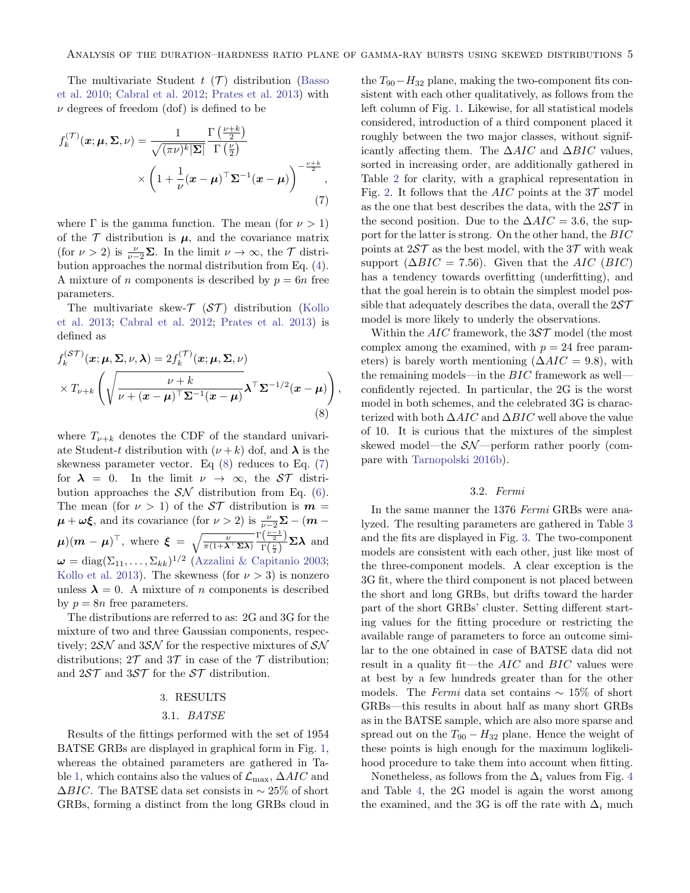,

The multivariate Student  $t$  ( $\mathcal{T}$ ) distribution [\(Basso](#page-11-18) [et al.](#page-11-18) [2010;](#page-11-18) [Cabral et al.](#page-11-19) [2012;](#page-11-19) [Prates et al.](#page-13-37) [2013\)](#page-13-37) with  $\nu$  degrees of freedom (dof) is defined to be

$$
f_k^{(\mathcal{T})}(\boldsymbol{x}; \boldsymbol{\mu}, \boldsymbol{\Sigma}, \nu) = \frac{1}{\sqrt{(\pi \nu)^k |\boldsymbol{\Sigma}|}} \frac{\Gamma\left(\frac{\nu + k}{2}\right)}{\Gamma\left(\frac{\nu}{2}\right)} \times \left(1 + \frac{1}{\nu} (\boldsymbol{x} - \boldsymbol{\mu})^\top \boldsymbol{\Sigma}^{-1} (\boldsymbol{x} - \boldsymbol{\mu})\right)^{-\frac{\nu + k}{2}},\tag{7}
$$

where  $\Gamma$  is the gamma function. The mean (for  $\nu > 1$ ) of the  $\mathcal T$  distribution is  $\mu$ , and the covariance matrix (for  $\nu > 2$ ) is  $\frac{\nu}{\nu-2} \Sigma$ . In the limit  $\nu \to \infty$ , the  $\mathcal T$  distribution approaches the normal distribution from Eq. [\(4\)](#page-3-2). A mixture of *n* components is described by  $p = 6n$  free parameters.

The multivariate skew- $\mathcal{T}$  ( $\mathcal{ST}$ ) distribution [\(Kollo](#page-12-38) [et al.](#page-12-38) [2013;](#page-12-38) [Cabral et al.](#page-11-19) [2012;](#page-11-19) [Prates et al.](#page-13-37) [2013\)](#page-13-37) is defined as

<span id="page-4-2"></span>
$$
f_k^{(\mathcal{ST})}(\boldsymbol{x}; \boldsymbol{\mu}, \boldsymbol{\Sigma}, \nu, \boldsymbol{\lambda}) = 2 f_k^{(\mathcal{T})}(\boldsymbol{x}; \boldsymbol{\mu}, \boldsymbol{\Sigma}, \nu)
$$

$$
\times T_{\nu+k} \left( \sqrt{\frac{\nu+k}{\nu+(\boldsymbol{x}-\boldsymbol{\mu})^{\top} \boldsymbol{\Sigma}^{-1}(\boldsymbol{x}-\boldsymbol{\mu})}} \boldsymbol{\lambda}^{\top} \boldsymbol{\Sigma}^{-1/2}(\boldsymbol{x}-\boldsymbol{\mu}) \right)
$$
(8)

where  $T_{\nu+k}$  denotes the CDF of the standard univariate Student-t distribution with  $(\nu + k)$  dof, and  $\lambda$  is the skewness parameter vector. Eq [\(8\)](#page-4-2) reduces to Eq. [\(7\)](#page-4-3) for  $\lambda = 0$ . In the limit  $\nu \to \infty$ , the ST distribution approaches the  $\mathcal{SN}$  distribution from Eq. [\(6\)](#page-3-1). The mean (for  $\nu > 1$ ) of the  $S\mathcal{T}$  distribution is  $m =$  $\mu + \omega \xi$ , and its covariance (for  $\nu > 2$ ) is  $\frac{\nu}{\nu - 2} \Sigma - (m - \frac{\nu}{2})$  $(\boldsymbol{\mu}) (\boldsymbol{m} - \boldsymbol{\mu})^{\top}, \text{ where } \boldsymbol{\xi} = \sqrt{\frac{\nu}{\pi (1 + \boldsymbol{\lambda}^{\top} \boldsymbol{\Sigma} \boldsymbol{\lambda})}}$  $\Gamma(\frac{\nu-1}{2})$  $\frac{\left(\frac{\nu}{2}\right)}{\Gamma\left(\frac{\nu}{2}\right)}$  Σλ and  $\boldsymbol{\omega} = \text{diag}(\Sigma_{11}, \dots, \Sigma_{kk})^{1/2}$  [\(Azzalini & Capitanio](#page-11-20) [2003;](#page-11-20) [Kollo et al.](#page-12-38) [2013\)](#page-12-38). The skewness (for  $\nu > 3$ ) is nonzero unless  $\lambda = 0$ . A mixture of *n* components is described by  $p = 8n$  free parameters.

The distributions are referred to as: 2G and 3G for the mixture of two and three Gaussian components, respectively;  $2\mathcal{SN}$  and  $3\mathcal{SN}$  for the respective mixtures of  $\mathcal{SN}$ distributions;  $2\mathcal{T}$  and  $3\mathcal{T}$  in case of the  $\mathcal{T}$  distribution; and  $2ST$  and  $3ST$  for the  $ST$  distribution.

### 3. RESULTS

#### 3.1. BATSE

<span id="page-4-1"></span><span id="page-4-0"></span>Results of the fittings performed with the set of 1954 BATSE GRBs are displayed in graphical form in Fig. [1,](#page-5-0) whereas the obtained parameters are gathered in Ta-ble [1,](#page-6-0) which contains also the values of  $\mathcal{L}_{\text{max}}$ ,  $\Delta AIC$  and  $\Delta BIC$ . The BATSE data set consists in  $\sim 25\%$  of short GRBs, forming a distinct from the long GRBs cloud in

<span id="page-4-3"></span>the  $T_{90}-H_{32}$  plane, making the two-component fits consistent with each other qualitatively, as follows from the left column of Fig. [1.](#page-5-0) Likewise, for all statistical models considered, introduction of a third component placed it roughly between the two major classes, without significantly affecting them. The  $\Delta AIC$  and  $\Delta BIC$  values, sorted in increasing order, are additionally gathered in Table [2](#page-7-1) for clarity, with a graphical representation in Fig. [2.](#page-7-2) It follows that the AIC points at the  $3\mathcal{T}$  model as the one that best describes the data, with the  $25\mathcal{T}$  in the second position. Due to the  $\Delta AIC = 3.6$ , the support for the latter is strong. On the other hand, the BIC points at  $2ST$  as the best model, with the  $3T$  with weak support ( $\Delta BIC = 7.56$ ). Given that the AIC (BIC) has a tendency towards overfitting (underfitting), and that the goal herein is to obtain the simplest model possible that adequately describes the data, overall the  $2ST$ model is more likely to underly the observations.

Within the  $AIC$  framework, the  $3S\mathcal{T}$  model (the most complex among the examined, with  $p = 24$  free parameters) is barely worth mentioning ( $\Delta AIC = 9.8$ ), with the remaining models—in the BIC framework as well confidently rejected. In particular, the 2G is the worst model in both schemes, and the celebrated 3G is characterized with both  $\Delta AIC$  and  $\Delta BIC$  well above the value of 10. It is curious that the mixtures of the simplest skewed model—the SN—perform rather poorly (compare with [Tarnopolski](#page-13-28) [2016b\)](#page-13-28).

#### 3.2. Fermi

In the same manner the 1376 Fermi GRBs were analyzed. The resulting parameters are gathered in Table [3](#page-9-0) and the fits are displayed in Fig. [3.](#page-8-0) The two-component models are consistent with each other, just like most of the three-component models. A clear exception is the 3G fit, where the third component is not placed between the short and long GRBs, but drifts toward the harder part of the short GRBs' cluster. Setting different starting values for the fitting procedure or restricting the available range of parameters to force an outcome similar to the one obtained in case of BATSE data did not result in a quality fit—the  $AIC$  and  $BIC$  values were at best by a few hundreds greater than for the other models. The Fermi data set contains  $\sim 15\%$  of short GRBs—this results in about half as many short GRBs as in the BATSE sample, which are also more sparse and spread out on the  $T_{90} - H_{32}$  plane. Hence the weight of these points is high enough for the maximum loglikelihood procedure to take them into account when fitting.

Nonetheless, as follows from the  $\Delta_i$  values from Fig. [4](#page-10-0) and Table [4,](#page-10-1) the 2G model is again the worst among the examined, and the 3G is off the rate with  $\Delta_i$  much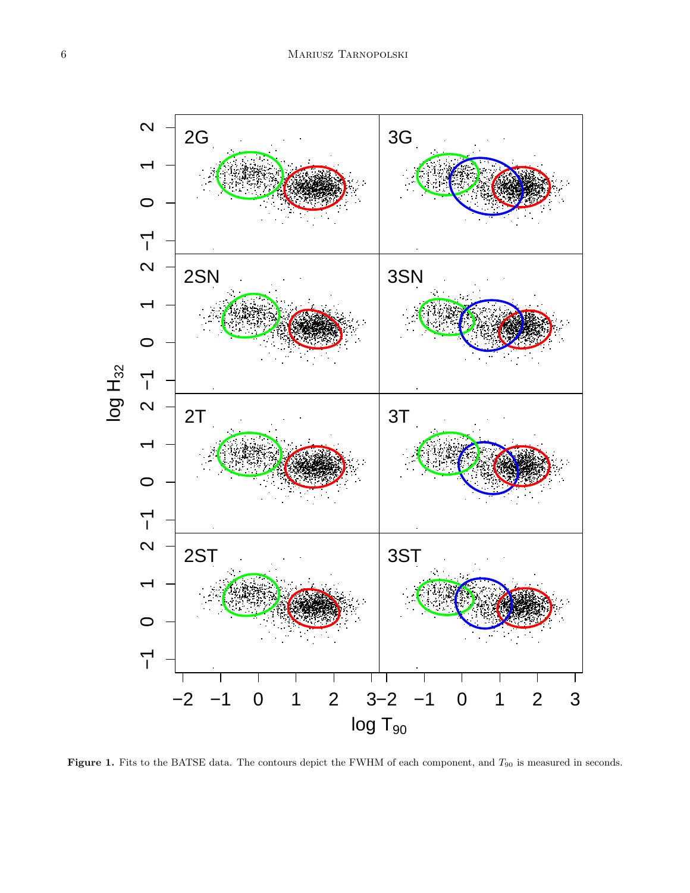

<span id="page-5-0"></span>Figure 1. Fits to the BATSE data. The contours depict the FWHM of each component, and  $T_{90}$  is measured in seconds.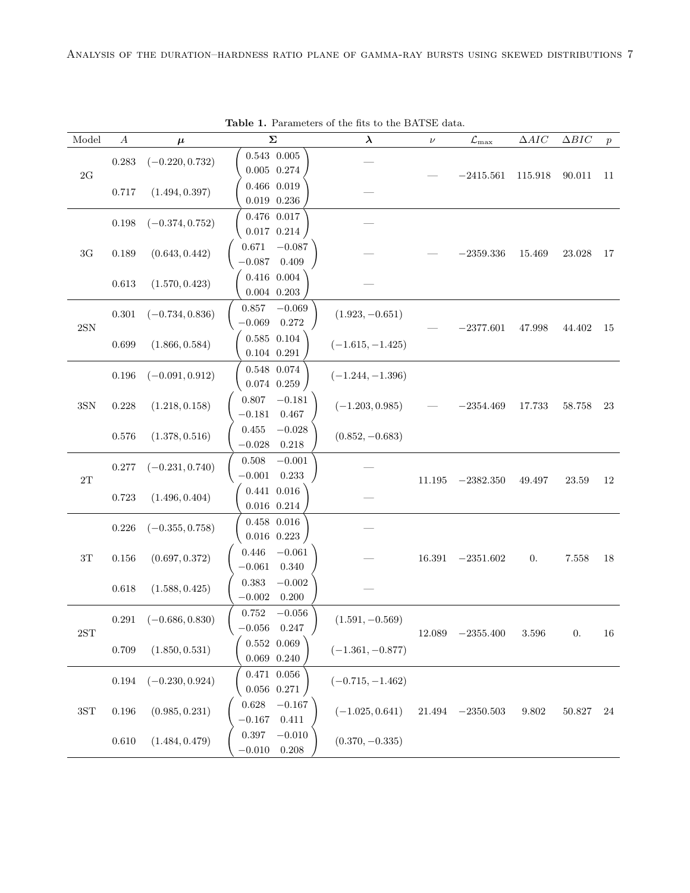| Model          | $\boldsymbol{A}$ | $\mu$             | Σ                                                | $\lambda$          | $\nu$      | $\mathcal{L}_{\rm max}$ | $\Delta AIC$     | $\Delta BIC$ | $\boldsymbol{p}$ |
|----------------|------------------|-------------------|--------------------------------------------------|--------------------|------------|-------------------------|------------------|--------------|------------------|
| $2{\rm G}$     | $0.283\,$        | $(-0.220, 0.732)$ | $0.543\  \  0.005$<br>$0.005$ $0.274$            |                    |            | $-2415.561$             | 115.918          | 90.011       | 11               |
|                | $0.717\,$        | (1.494, 0.397)    | $0.466$ $0.019$<br>$0.019$ $0.236$               |                    |            |                         |                  |              |                  |
|                | 0.198            | $(-0.374, 0.752)$ | $0.476$ $0.017$<br>$0.017$ $0.214$               |                    |            |                         |                  |              |                  |
| $3\mathrm{G}$  | $0.189\,$        | (0.643, 0.442)    | $-0.087$<br>0.671<br>$-0.087$<br>0.409           |                    |            | $-2359.336$             | 15.469           | 23.028       | 17               |
|                | $0.613\,$        | (1.570, 0.423)    | $0.416$ $0.004$<br>$0.004$ $0.203$               |                    |            |                         |                  |              |                  |
| $2{\rm SN}$    | $0.301\,$        | $(-0.734, 0.836)$ | $-0.069$<br>0.857<br>$-0.069\quad 0.272$         | $(1.923, -0.651)$  |            | $-2377.601$             | 47.998           | 44.402       | 15               |
|                | 0.699            | (1.866, 0.584)    | $0.585\  \  0.104$<br>$0.104$ $0.291$            | $(-1.615, -1.425)$ |            |                         |                  |              |                  |
|                | $0.196\,$        | $(-0.091, 0.912)$ | $0.548\  \  0.074$<br>$0.074$ $0.259$            | $(-1.244, -1.396)$ |            |                         |                  |              |                  |
| $3{\rm SN}$    | 0.228            | (1.218, 0.158)    | 0.807<br>$-0.181$<br>$-0.181$<br>$0.467\,$       | $(-1.203, 0.985)$  |            | $-2354.469$             | 17.733           | $58.758\,$   | 23               |
|                | 0.576            | (1.378, 0.516)    | $-0.028\,$<br>0.455<br>$-0.028$<br>0.218         | $(0.852, -0.683)$  |            |                         |                  |              |                  |
| $2\mathrm{T}$  | $0.277\,$        | $(-0.231, 0.740)$ | 0.508<br>$-0.001$<br>$-0.001$<br>0.233           |                    | $11.195\,$ | $-2382.350$             | $\rm 49.497$     | 23.59        | 12               |
|                | 0.723            | (1.496, 0.404)    | $0.441$ $0.016$<br>$0.016$ $0.214$               |                    |            |                         |                  |              |                  |
|                | $0.226\,$        | $(-0.355, 0.758)$ | $0.458$ $0.016$<br>$0.016$ 0.223                 |                    |            |                         |                  |              |                  |
| $3\mathrm{T}$  | $0.156\,$        | (0.697, 0.372)    | 0.446<br>$-0.061\,$<br>$-0.061\,$<br>$0.340\,$   |                    | 16.391     | $-2351.602$             | $\overline{0}$ . | 7.558        | 18               |
|                | $0.618\,$        | (1.588, 0.425)    | 0.383<br>$-0.002\,$<br>$-0.002$<br>0.200         |                    |            |                         |                  |              |                  |
| $2{\rm ST}$    | $0.291\,$        | $(-0.686, 0.830)$ | 0.752<br>$-0.056$<br>$-0.056$<br>0.247           | $(1.591, -0.569)$  | 12.089     | $-2355.400$             | 3.596            | 0.           | 16               |
|                | 0.709            | (1.850, 0.531)    | $0.552\  \  0.069$<br>$0.069\;\;0.240$           | $(-1.361, -0.877)$ |            |                         |                  |              |                  |
|                | $\,0.194\,$      | $(-0.230, 0.924)$ | $0.471$ $0.056$<br>$0.056$ $0.271$               | $(-0.715, -1.462)$ |            |                         |                  |              |                  |
| $3S\mathrm{T}$ | $0.196\,$        | (0.985, 0.231)    | $0.628\,$<br>$-0.167\,$<br>$0.411\,$<br>$-0.167$ | $(-1.025, 0.641)$  | 21.494     | $-2350.503$             | $9.802\,$        | $50.827\,$   | 24               |
|                | $0.610\,$        | (1.484, 0.479)    | $0.397\,$<br>$-0.010$<br>$-0.010$<br>0.208       | $(0.370, -0.335)$  |            |                         |                  |              |                  |

<span id="page-6-0"></span>Table 1. Parameters of the fits to the BATSE data.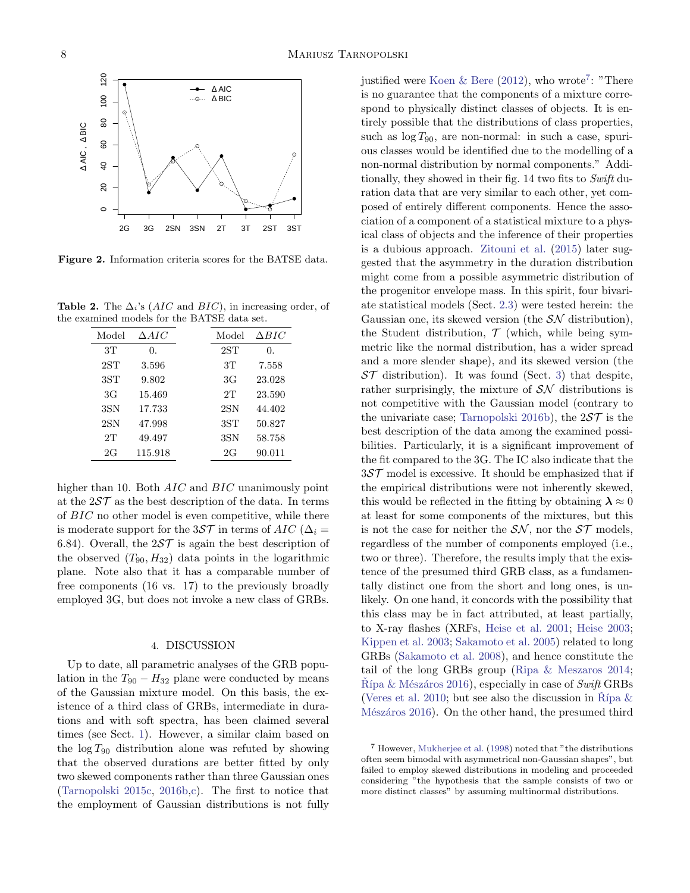

<span id="page-7-2"></span>Figure 2. Information criteria scores for the BATSE data.

**Table 2.** The  $\Delta_i$ 's (*AIC* and *BIC*), in increasing order, of the examined models for the BATSE data set.

<span id="page-7-1"></span>

| Model        | $\triangle AIC$ | Model        | $\triangle BIC$ |
|--------------|-----------------|--------------|-----------------|
| 3T           | 0.              | 2ST          | 0.              |
| 2ST          | 3.596           | 3T           | 7.558           |
| 3ST          | 9.802           | 3G           | 23.028          |
| 3G           | 15.469          | 2T           | 23.590          |
| 3SN          | 17.733          | $2\text{SN}$ | 44.402          |
| $2\text{SN}$ | 47.998          | 3ST          | 50.827          |
| 2T           | 49.497          | 3SN          | 58.758          |
| 2G           | 115.918         | 2G           | 90.011          |

higher than 10. Both *AIC* and *BIC* unanimously point at the  $257$  as the best description of the data. In terms of BIC no other model is even competitive, while there is moderate support for the 3ST in terms of AIC ( $\Delta_i$  = 6.84). Overall, the  $25\mathcal{T}$  is again the best description of the observed  $(T_{90}, H_{32})$  data points in the logarithmic plane. Note also that it has a comparable number of free components (16 vs. 17) to the previously broadly employed 3G, but does not invoke a new class of GRBs.

#### 4. DISCUSSION

<span id="page-7-0"></span>Up to date, all parametric analyses of the GRB population in the  $T_{90} - H_{32}$  plane were conducted by means of the Gaussian mixture model. On this basis, the existence of a third class of GRBs, intermediate in durations and with soft spectra, has been claimed several times (see Sect. [1\)](#page-0-0). However, a similar claim based on the  $\log T_{90}$  distribution alone was refuted by showing that the observed durations are better fitted by only two skewed components rather than three Gaussian ones [\(Tarnopolski](#page-13-20) [2015c,](#page-13-20) [2016b,](#page-13-28)[c\)](#page-13-29). The first to notice that the employment of Gaussian distributions is not fully

justified were [Koen & Bere](#page-12-21)  $(2012)$ , who wrote<sup>[7](#page-7-3)</sup>: "There is no guarantee that the components of a mixture correspond to physically distinct classes of objects. It is entirely possible that the distributions of class properties, such as  $\log T_{90}$ , are non-normal: in such a case, spurious classes would be identified due to the modelling of a non-normal distribution by normal components." Additionally, they showed in their fig. 14 two fits to Swift duration data that are very similar to each other, yet composed of entirely different components. Hence the association of a component of a statistical mixture to a physical class of objects and the inference of their properties is a dubious approach. [Zitouni et al.](#page-14-1) [\(2015\)](#page-14-1) later suggested that the asymmetry in the duration distribution might come from a possible asymmetric distribution of the progenitor envelope mass. In this spirit, four bivariate statistical models (Sect. [2.3\)](#page-3-4) were tested herein: the Gaussian one, its skewed version (the  $\mathcal{SN}$  distribution), the Student distribution,  $\mathcal T$  (which, while being symmetric like the normal distribution, has a wider spread and a more slender shape), and its skewed version (the  $ST$  distribution). It was found (Sect. [3\)](#page-4-1) that despite, rather surprisingly, the mixture of  $\mathcal{SN}$  distributions is not competitive with the Gaussian model (contrary to the univariate case; [Tarnopolski](#page-13-28) [2016b\)](#page-13-28), the  $25\mathcal{T}$  is the best description of the data among the examined possibilities. Particularly, it is a significant improvement of the fit compared to the 3G. The IC also indicate that the 3ST model is excessive. It should be emphasized that if the empirical distributions were not inherently skewed, this would be reflected in the fitting by obtaining  $\lambda \approx 0$ at least for some components of the mixtures, but this is not the case for neither the  $S\mathcal{N}$ , nor the  $S\mathcal{T}$  models, regardless of the number of components employed (i.e., two or three). Therefore, the results imply that the existence of the presumed third GRB class, as a fundamentally distinct one from the short and long ones, is unlikely. On one hand, it concords with the possibility that this class may be in fact attributed, at least partially, to X-ray flashes (XRFs, [Heise et al.](#page-12-39) [2001;](#page-12-39) [Heise](#page-12-40) [2003;](#page-12-40) [Kippen et al.](#page-12-41) [2003;](#page-12-41) [Sakamoto et al.](#page-13-40) [2005\)](#page-13-40) related to long GRBs [\(Sakamoto et al.](#page-13-41) [2008\)](#page-13-41), and hence constitute the tail of the long GRBs group [\(Ripa & Meszaros](#page-13-42) [2014;](#page-13-42)  $R$ ípa & Mészáros [2016\)](#page-13-43), especially in case of Swift GRBs [\(Veres et al.](#page-13-31) [2010;](#page-13-31) but see also the discussion in Rípa  $\&$ Mészáros [2016\)](#page-13-43). On the other hand, the presumed third

<span id="page-7-3"></span><sup>7</sup> However, [Mukherjee et al.](#page-13-30) [\(1998\)](#page-13-30) noted that "the distributions often seem bimodal with asymmetrical non-Gaussian shapes", but failed to employ skewed distributions in modeling and proceeded considering "the hypothesis that the sample consists of two or more distinct classes" by assuming multinormal distributions.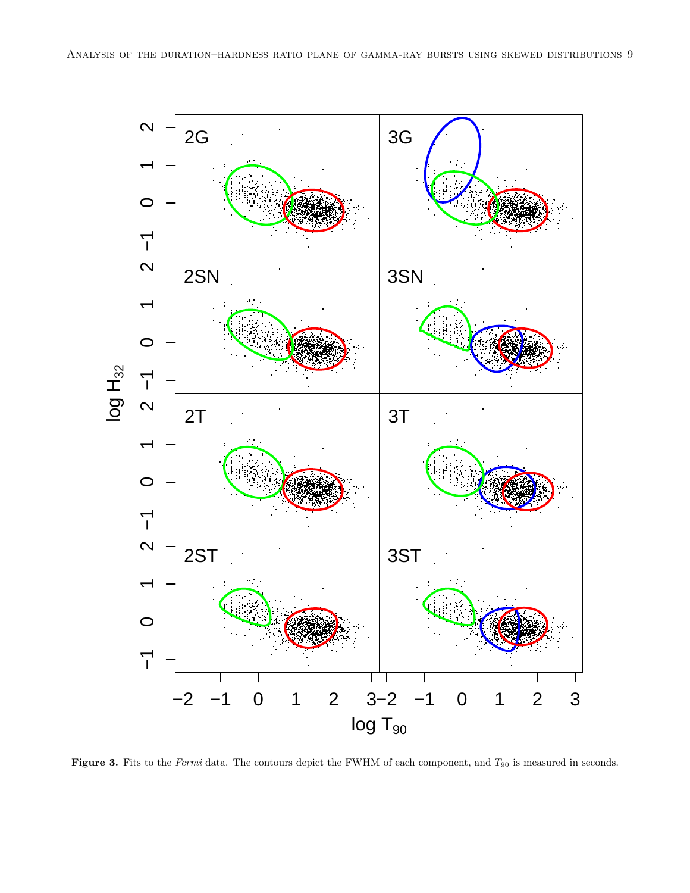

<span id="page-8-0"></span>Figure 3. Fits to the Fermi data. The contours depict the FWHM of each component, and  $T_{90}$  is measured in seconds.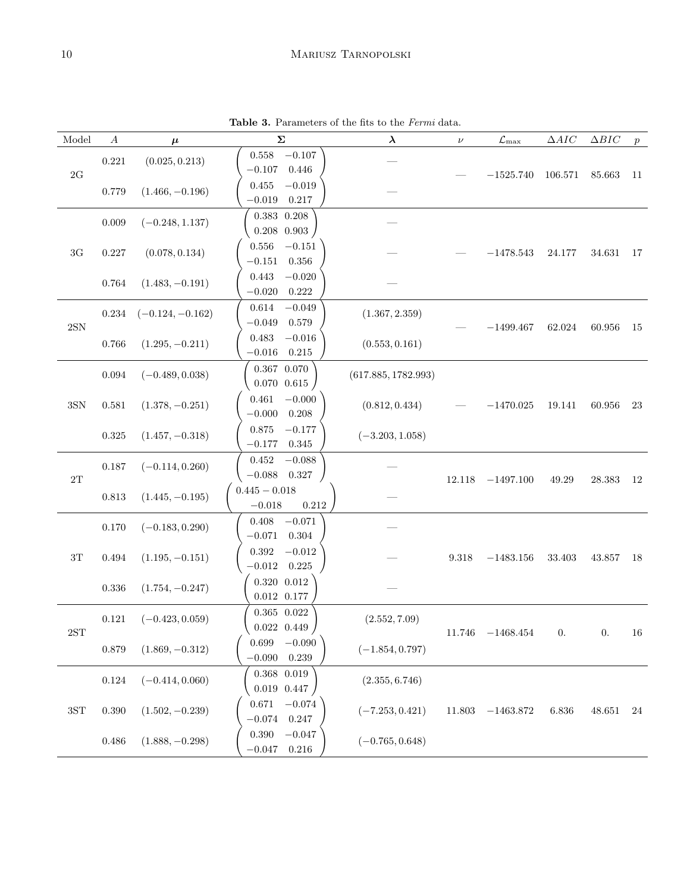# 10 Mariusz Tarnopolski

<span id="page-9-0"></span>Table 3. Parameters of the fits to the Fermi data.

| Model          | $\boldsymbol{A}$ | $\mu$              | $\boldsymbol{\Sigma}$                                             | $\lambda$           | $\nu$                | $\mathcal{L}_{\rm max}$ | $\Delta AIC$ | $\Delta BIC$ | $\boldsymbol{p}$ |
|----------------|------------------|--------------------|-------------------------------------------------------------------|---------------------|----------------------|-------------------------|--------------|--------------|------------------|
| $2\mbox{G}$    | 0.221            | (0.025, 0.213)     | 0.558<br>$-0.107$<br>$-0.107$<br>0.446                            |                     |                      | $-1525.740$             | 106.571      | 85.663       | 11               |
|                | 0.779            | $(1.466, -0.196)$  | 0.455<br>$-0.019$<br>$-0.019$<br>0.217                            |                     |                      |                         |              |              |                  |
|                | 0.009            | $(-0.248, 1.137)$  | $0.383$ $0.208$<br>$0.208$ 0.903                                  |                     |                      |                         |              |              |                  |
| $3\mathrm{G}$  | $0.227\,$        | (0.078, 0.134)     | $0.556\,$<br>$-0.151$<br>0.356<br>$-0.151$                        |                     |                      | $-1478.543$             | 24.177       | 34.631       | 17               |
|                | $\,0.764\,$      | $(1.483, -0.191)$  | $-0.020\,$<br>0.443<br>$-0.020$<br>0.222                          |                     |                      |                         |              |              |                  |
| $2{\rm SN}$    | $0.234\,$        | $(-0.124, -0.162)$ | 0.614<br>$-0.049$<br>$-0.049$<br>0.579                            | (1.367, 2.359)      |                      | $-1499.467$             | 62.024       | $60.956\,$   | 15               |
|                | $0.766\,$        | $(1.295, -0.211)$  | $0.483\,$<br>$-0.016$<br>$-0.016$<br>0.215                        | (0.553, 0.161)      |                      |                         |              |              |                  |
|                | $\,0.094\,$      | $(-0.489, 0.038)$  | $0.367$ $0.070$<br>$0.070$ $0.615$                                | (617.885, 1782.993) |                      |                         |              |              |                  |
| $3{\rm SN}$    | 0.581            | $(1.378, -0.251)$  | 0.461<br>$-0.000$<br>$-0.000$<br>0.208                            | (0.812, 0.434)      |                      | $-1470.025$             | 19.141       | 60.956       | 23               |
|                | $\,0.325\,$      | $(1.457, -0.318)$  | $-0.177$<br>0.875<br>$-0.177$<br>0.345                            | $(-3.203, 1.058)$   |                      |                         |              |              |                  |
|                | $0.187\,$        | $(-0.114, 0.260)$  | $-0.088$<br>0.452                                                 |                     |                      |                         |              |              |                  |
| $2\mathrm{T}$  | $\,0.813\,$      | $(1.445, -0.195)$  | $-0.088\quad 0.327$<br>$0.445 - 0.018$<br>$-0.018\,$<br>$0.212\,$ |                     | 12.118               | $-1497.100$             | $\rm 49.29$  | $28.383\,$   | 12               |
|                | $0.170\,$        | $(-0.183, 0.290)$  | $-0.071$<br>0.408<br>$-0.071$<br>0.304                            |                     |                      |                         |              |              |                  |
| $3\mathrm{T}$  | $\,0.494\,$      | $(1.195, -0.151)$  | 0.392<br>$-0.012$<br>$-0.012$ 0.225                               |                     | $\boldsymbol{9.318}$ | $-1483.156$             | $33.403\,$   | 43.857       | 18               |
|                | $0.336\,$        | $(1.754, -0.247)$  | $0.320\  \  0.012$<br>$0.012\;\; 0.177$                           |                     |                      |                         |              |              |                  |
| $2{\rm ST}$    | $\rm 0.121$      | $(-0.423, 0.059)$  | $0.365\  \  0.022$<br>$0.022\;\; 0.449$                           | (2.552, 7.09)       |                      | $11.746$ $-1468.454$    | 0.           | $0.$ 16      |                  |
|                | 0.879            | $(1.869, -0.312)$  | 0.699<br>$-0.090\,$<br>$-0.090$<br>0.239                          | $(-1.854, 0.797)$   |                      |                         |              |              |                  |
|                | $\,0.124\,$      | $(-0.414, 0.060)$  | $0.368$ $0.019$<br>$0.019$ $0.447$                                | (2.355, 6.746)      |                      |                         |              |              |                  |
| $3S\mathrm{T}$ | 0.390            | $(1.502, -0.239)$  | $-0.074$<br>0.671<br>$-0.074$<br>0.247                            | $(-7.253, 0.421)$   | 11.803               | $-1463.872$             | 6.836        | 48.651       | 24               |
|                | $0.486\,$        | $(1.888, -0.298)$  | 0.390<br>$-0.047$<br>$0.216\,$<br>$-0.047$                        | $(-0.765, 0.648)$   |                      |                         |              |              |                  |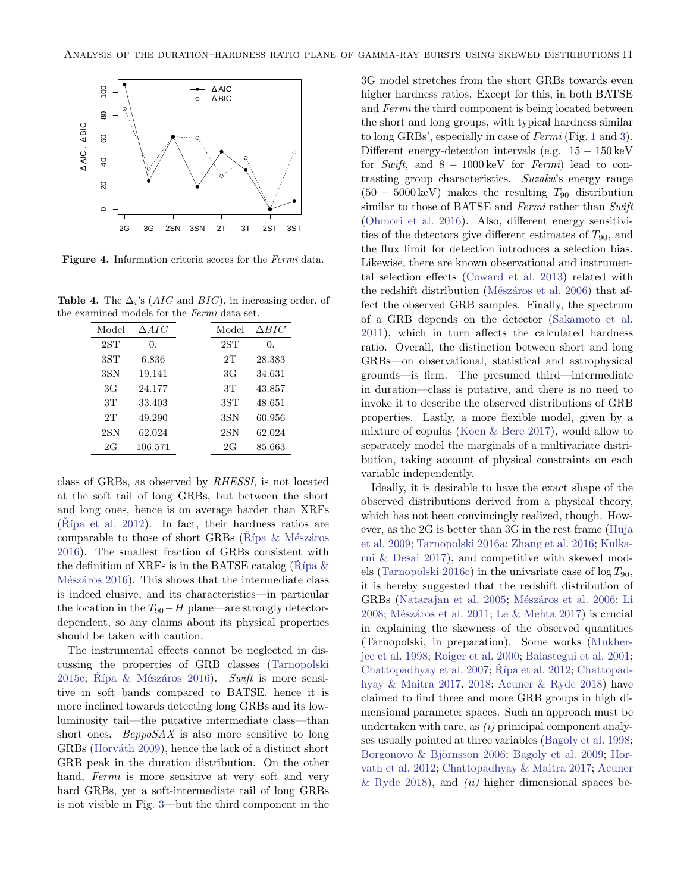

<span id="page-10-0"></span>Figure 4. Information criteria scores for the Fermi data.

**Table 4.** The  $\Delta_i$ 's (*AIC* and *BIC*), in increasing order, of the examined models for the Fermi data set.

<span id="page-10-1"></span>

| Model           | $\Delta AIC$ | Model           | $\Delta BIC$ |
|-----------------|--------------|-----------------|--------------|
| 2ST             | 0.           | 2ST             | 0.           |
| 3S <sub>T</sub> | 6.836        | 2T              | 28.383       |
| 3SN             | 19.141       | 3G              | 34.631       |
| 3G              | 24.177       | 3T              | 43.857       |
| 3T              | 33.403       | 3S <sub>T</sub> | 48.651       |
| 2T              | 49.290       | 3SN             | 60.956       |
| $2\text{SN}$    | 62.024       | $2\text{SN}$    | 62.024       |
| 2G              | 106.571      | 2G              | 85.663       |

class of GRBs, as observed by RHESSI, is not located at the soft tail of long GRBs, but between the short and long ones, hence is on average harder than XRFs (Rípa et al. [2012\)](#page-13-32). In fact, their hardness ratios are comparable to those of short GRBs ( $R$ <sup>ipa & Mészáros</sup>) [2016\)](#page-13-43). The smallest fraction of GRBs consistent with the definition of XRFs is in the BATSE catalog (Rípa  $\&$ Mészáros [2016\)](#page-13-43). This shows that the intermediate class is indeed elusive, and its characteristics—in particular the location in the  $T_{90}$  – H plane—are strongly detectordependent, so any claims about its physical properties should be taken with caution.

The instrumental effects cannot be neglected in discussing the properties of GRB classes [\(Tarnopolski](#page-13-20) [2015c;](#page-13-20) Rípa & Mészáros [2016\)](#page-13-43). Swift is more sensitive in soft bands compared to BATSE, hence it is more inclined towards detecting long GRBs and its lowluminosity tail—the putative intermediate class—than short ones.  $BeppoSAX$  is also more sensitive to long GRBs (Horváth [2009\)](#page-12-20), hence the lack of a distinct short GRB peak in the duration distribution. On the other hand, Fermi is more sensitive at very soft and very hard GRBs, yet a soft-intermediate tail of long GRBs is not visible in Fig. [3—](#page-8-0)but the third component in the

3G model stretches from the short GRBs towards even higher hardness ratios. Except for this, in both BATSE and Fermi the third component is being located between the short and long groups, with typical hardness similar to long GRBs', especially in case of Fermi (Fig. [1](#page-5-0) and [3\)](#page-8-0). Different energy-detection intervals (e.g.  $15 - 150 \,\text{keV}$ for Swift, and  $8 - 1000 \,\text{keV}$  for Fermi) lead to contrasting group characteristics. Suzaku's energy range  $(50 - 5000 \,\text{keV})$  makes the resulting  $T_{90}$  distribution similar to those of BATSE and Fermi rather than Swift [\(Ohmori et al.](#page-13-27) [2016\)](#page-13-27). Also, different energy sensitivities of the detectors give different estimates of  $T_{90}$ , and the flux limit for detection introduces a selection bias. Likewise, there are known observational and instrumental selection effects [\(Coward et al.](#page-11-21) [2013\)](#page-11-21) related with the redshift distribution (Mészáros et al. [2006\)](#page-13-44) that affect the observed GRB samples. Finally, the spectrum of a GRB depends on the detector [\(Sakamoto et al.](#page-13-45) [2011\)](#page-13-45), which in turn affects the calculated hardness ratio. Overall, the distinction between short and long GRBs—on observational, statistical and astrophysical grounds—is firm. The presumed third—intermediate in duration—class is putative, and there is no need to invoke it to describe the observed distributions of GRB properties. Lastly, a more flexible model, given by a mixture of copulas [\(Koen & Bere](#page-12-42) [2017\)](#page-12-42), would allow to separately model the marginals of a multivariate distribution, taking account of physical constraints on each variable independently.

Ideally, it is desirable to have the exact shape of the observed distributions derived from a physical theory, which has not been convincingly realized, though. However, as the 2G is better than 3G in the rest frame [\(Huja](#page-12-16) [et al.](#page-12-16) [2009;](#page-12-16) [Tarnopolski](#page-13-21) [2016a;](#page-13-21) [Zhang et al.](#page-14-2) [2016;](#page-14-2) [Kulka](#page-12-17)[rni & Desai](#page-12-17) [2017\)](#page-12-17), and competitive with skewed mod-els [\(Tarnopolski](#page-13-29) [2016c\)](#page-13-29) in the univariate case of  $\log T_{90}$ , it is hereby suggested that the redshift distribution of GRBs [\(Natarajan et al.](#page-13-46) [2005;](#page-13-46) Mészáros et al. [2006;](#page-13-44) [Li](#page-12-43) [2008;](#page-12-43) Mészáros et al. [2011;](#page-13-47) Le  $&$  Mehta [2017\)](#page-12-44) is crucial in explaining the skewness of the observed quantities (Tarnopolski, in preparation). Some works [\(Mukher](#page-13-30)[jee et al.](#page-13-30) [1998;](#page-13-30) [Roiger et al.](#page-13-35) [2000;](#page-13-35) [Balastegui et al.](#page-11-5) [2001;](#page-11-5) [Chattopadhyay et al.](#page-11-6)  $2007$ ; Rípa et al.  $2012$ ; [Chattopad](#page-11-7)[hyay & Maitra](#page-11-7) [2017,](#page-11-7) [2018;](#page-11-8) [Acuner & Ryde](#page-11-9) [2018\)](#page-11-9) have claimed to find three and more GRB groups in high dimensional parameter spaces. Such an approach must be undertaken with care, as  $(i)$  prinicipal component analyses usually pointed at three variables [\(Bagoly et al.](#page-11-22) [1998;](#page-11-22) Borgonovo & Björnsson [2006;](#page-11-23) [Bagoly et al.](#page-11-24) [2009;](#page-11-24) [Hor](#page-12-25)[vath et al.](#page-12-25) [2012;](#page-12-25) [Chattopadhyay & Maitra](#page-11-7) [2017;](#page-11-7) [Acuner](#page-11-9) [& Ryde](#page-11-9) [2018\)](#page-11-9), and  $(ii)$  higher dimensional spaces be-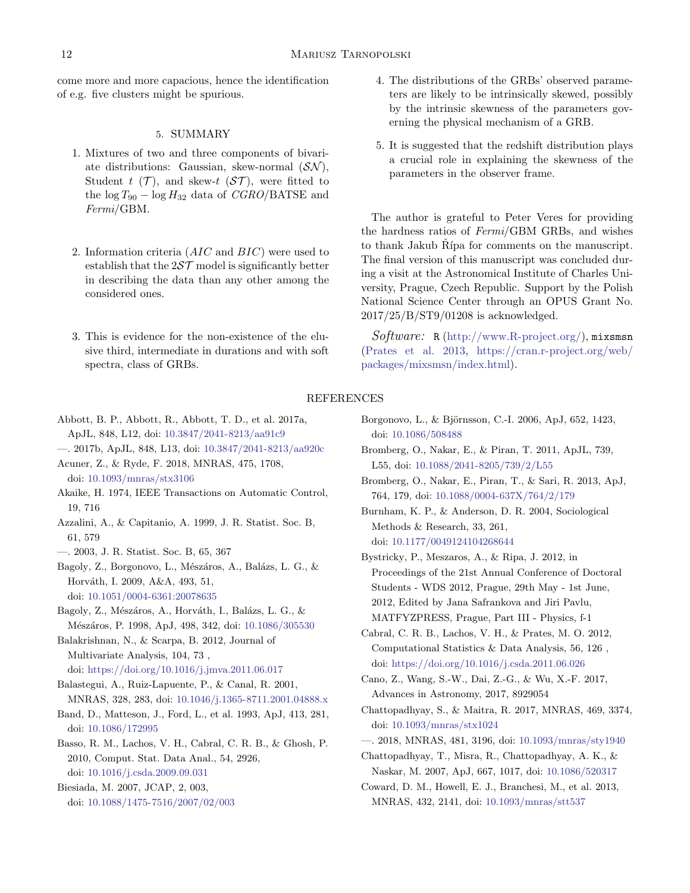come more and more capacious, hence the identification of e.g. five clusters might be spurious.

## 5. SUMMARY

- <span id="page-11-12"></span>1. Mixtures of two and three components of bivariate distributions: Gaussian, skew-normal  $(SN)$ , Student t  $(\mathcal{T})$ , and skew-t  $(\mathcal{ST})$ , were fitted to the  $\log T_{90} - \log H_{32}$  data of  $CGRO/BATSE$  and Fermi/GBM.
- 2. Information criteria  $(AIC)$  and  $BIC)$  were used to establish that the  $257$  model is significantly better in describing the data than any other among the considered ones.
- 3. This is evidence for the non-existence of the elusive third, intermediate in durations and with soft spectra, class of GRBs.
- 4. The distributions of the GRBs' observed parameters are likely to be intrinsically skewed, possibly by the intrinsic skewness of the parameters governing the physical mechanism of a GRB.
- 5. It is suggested that the redshift distribution plays a crucial role in explaining the skewness of the parameters in the observer frame.

The author is grateful to Peter Veres for providing the hardness ratios of Fermi/GBM GRBs, and wishes to thank Jakub Rípa for comments on the manuscript. The final version of this manuscript was concluded during a visit at the Astronomical Institute of Charles University, Prague, Czech Republic. Support by the Polish National Science Center through an OPUS Grant No. 2017/25/B/ST9/01208 is acknowledged.

Software: R [\(http://www.R-project.org/\)](http://www.R-project.org/), mixsmsn [\(Prates et al.](#page-13-37) [2013,](#page-13-37) [https://cran.r-project.org/web/](https://cran.r-project.org/web/packages/mixsmsn/index.html) [packages/mixsmsn/index.html\)](https://cran.r-project.org/web/packages/mixsmsn/index.html).

# REFERENCES

- <span id="page-11-1"></span>Abbott, B. P., Abbott, R., Abbott, T. D., et al. 2017a, ApJL, 848, L12, doi: [10.3847/2041-8213/aa91c9](http://doi.org/10.3847/2041-8213/aa91c9)
- <span id="page-11-9"></span><span id="page-11-2"></span>—. 2017b, ApJL, 848, L13, doi: [10.3847/2041-8213/aa920c](http://doi.org/10.3847/2041-8213/aa920c)
- Acuner, Z., & Ryde, F. 2018, MNRAS, 475, 1708, doi: [10.1093/mnras/stx3106](http://doi.org/10.1093/mnras/stx3106)
- <span id="page-11-13"></span>Akaike, H. 1974, IEEE Transactions on Automatic Control, 19, 716
- <span id="page-11-16"></span>Azzalini, A., & Capitanio, A. 1999, J. R. Statist. Soc. B, 61, 579
- <span id="page-11-20"></span>—. 2003, J. R. Statist. Soc. B, 65, 367
- <span id="page-11-24"></span>Bagoly, Z., Borgonovo, L., Mészáros, A., Balázs, L. G., & Horváth, I. 2009, A&A, 493, 51,
- doi: [10.1051/0004-6361:20078635](http://doi.org/10.1051/0004-6361:20078635)
- <span id="page-11-22"></span>Bagoly, Z., Mészáros, A., Horváth, I., Balázs, L. G., & Mészáros, P. 1998, ApJ, 498, 342, doi: [10.1086/305530](http://doi.org/10.1086/305530)

<span id="page-11-17"></span>Balakrishnan, N., & Scarpa, B. 2012, Journal of Multivariate Analysis, 104, 73 , doi: [https://doi.org/10.1016/j.jmva.2011.06.017](http://doi.org/https://doi.org/10.1016/j.jmva.2011.06.017)

- <span id="page-11-5"></span>Balastegui, A., Ruiz-Lapuente, P., & Canal, R. 2001, MNRAS, 328, 283, doi: [10.1046/j.1365-8711.2001.04888.x](http://doi.org/10.1046/j.1365-8711.2001.04888.x)
- <span id="page-11-10"></span>Band, D., Matteson, J., Ford, L., et al. 1993, ApJ, 413, 281, doi: [10.1086/172995](http://doi.org/10.1086/172995)
- <span id="page-11-18"></span>Basso, R. M., Lachos, V. H., Cabral, C. R. B., & Ghosh, P. 2010, Comput. Stat. Data Anal., 54, 2926, doi: [10.1016/j.csda.2009.09.031](http://doi.org/10.1016/j.csda.2009.09.031)
- <span id="page-11-15"></span>Biesiada, M. 2007, JCAP, 2, 003, doi: [10.1088/1475-7516/2007/02/003](http://doi.org/10.1088/1475-7516/2007/02/003)
- <span id="page-11-23"></span>Borgonovo, L., & Björnsson, C.-I. 2006, ApJ, 652, 1423, doi: [10.1086/508488](http://doi.org/10.1086/508488)
- <span id="page-11-11"></span>Bromberg, O., Nakar, E., & Piran, T. 2011, ApJL, 739, L55, doi: [10.1088/2041-8205/739/2/L55](http://doi.org/10.1088/2041-8205/739/2/L55)
- <span id="page-11-0"></span>Bromberg, O., Nakar, E., Piran, T., & Sari, R. 2013, ApJ, 764, 179, doi: [10.1088/0004-637X/764/2/179](http://doi.org/10.1088/0004-637X/764/2/179)
- <span id="page-11-14"></span>Burnham, K. P., & Anderson, D. R. 2004, Sociological Methods & Research, 33, 261, doi: [10.1177/0049124104268644](http://doi.org/10.1177/0049124104268644)
- <span id="page-11-4"></span>Bystricky, P., Meszaros, A., & Ripa, J. 2012, in Proceedings of the 21st Annual Conference of Doctoral Students - WDS 2012, Prague, 29th May - 1st June, 2012, Edited by Jana Safrankova and Jiri Pavlu, MATFYZPRESS, Prague, Part III - Physics, f-1
- <span id="page-11-19"></span>Cabral, C. R. B., Lachos, V. H., & Prates, M. O. 2012, Computational Statistics & Data Analysis, 56, 126 , doi: [https://doi.org/10.1016/j.csda.2011.06.026](http://doi.org/https://doi.org/10.1016/j.csda.2011.06.026)
- <span id="page-11-3"></span>Cano, Z., Wang, S.-W., Dai, Z.-G., & Wu, X.-F. 2017, Advances in Astronomy, 2017, 8929054
- <span id="page-11-7"></span>Chattopadhyay, S., & Maitra, R. 2017, MNRAS, 469, 3374, doi: [10.1093/mnras/stx1024](http://doi.org/10.1093/mnras/stx1024)
- <span id="page-11-8"></span>—. 2018, MNRAS, 481, 3196, doi: [10.1093/mnras/sty1940](http://doi.org/10.1093/mnras/sty1940)
- <span id="page-11-6"></span>Chattopadhyay, T., Misra, R., Chattopadhyay, A. K., & Naskar, M. 2007, ApJ, 667, 1017, doi: [10.1086/520317](http://doi.org/10.1086/520317)
- <span id="page-11-21"></span>Coward, D. M., Howell, E. J., Branchesi, M., et al. 2013, MNRAS, 432, 2141, doi: [10.1093/mnras/stt537](http://doi.org/10.1093/mnras/stt537)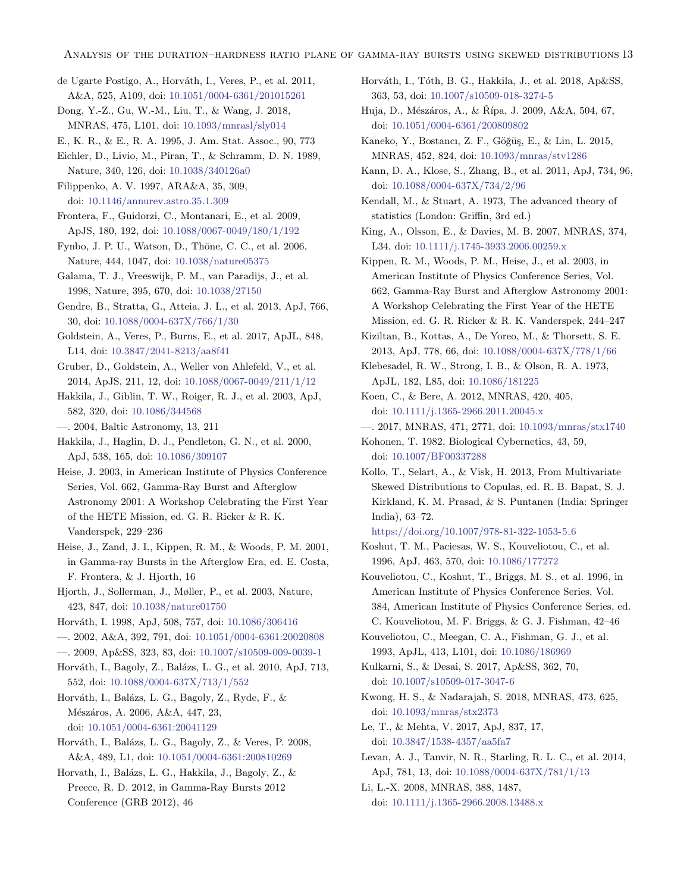- <span id="page-12-23"></span>de Ugarte Postigo, A., Horváth, I., Veres, P., et al. 2011, A&A, 525, A109, doi: [10.1051/0004-6361/201015261](http://doi.org/10.1051/0004-6361/201015261)
- <span id="page-12-34"></span>Dong, Y.-Z., Gu, W.-M., Liu, T., & Wang, J. 2018, MNRAS, 475, L101, doi: [10.1093/mnrasl/sly014](http://doi.org/10.1093/mnrasl/sly014)
- <span id="page-12-37"></span>E., K. R., & E., R. A. 1995, J. Am. Stat. Assoc., 90, 773
- <span id="page-12-1"></span>Eichler, D., Livio, M., Piran, T., & Schramm, D. N. 1989, Nature, 340, 126, doi: [10.1038/340126a0](http://doi.org/10.1038/340126a0)
- <span id="page-12-7"></span>Filippenko, A. V. 1997, ARA&A, 35, 309, doi: [10.1146/annurev.astro.35.1.309](http://doi.org/10.1146/annurev.astro.35.1.309)
- <span id="page-12-19"></span>Frontera, F., Guidorzi, C., Montanari, E., et al. 2009, ApJS, 180, 192, doi: [10.1088/0067-0049/180/1/192](http://doi.org/10.1088/0067-0049/180/1/192)
- <span id="page-12-3"></span>Fynbo, J. P. U., Watson, D., Thöne, C. C., et al. 2006, Nature, 444, 1047, doi: [10.1038/nature05375](http://doi.org/10.1038/nature05375)
- <span id="page-12-8"></span>Galama, T. J., Vreeswijk, P. M., van Paradijs, J., et al. 1998, Nature, 395, 670, doi: [10.1038/27150](http://doi.org/10.1038/27150)
- <span id="page-12-31"></span>Gendre, B., Stratta, G., Atteia, J. L., et al. 2013, ApJ, 766, 30, doi: [10.1088/0004-637X/766/1/30](http://doi.org/10.1088/0004-637X/766/1/30)
- <span id="page-12-6"></span>Goldstein, A., Veres, P., Burns, E., et al. 2017, ApJL, 848, L14, doi: [10.3847/2041-8213/aa8f41](http://doi.org/10.3847/2041-8213/aa8f41)
- <span id="page-12-18"></span>Gruber, D., Goldstein, A., Weller von Ahlefeld, V., et al. 2014, ApJS, 211, 12, doi: [10.1088/0067-0049/211/1/12](http://doi.org/10.1088/0067-0049/211/1/12)
- <span id="page-12-28"></span>Hakkila, J., Giblin, T. W., Roiger, R. J., et al. 2003, ApJ, 582, 320, doi: [10.1086/344568](http://doi.org/10.1086/344568)
- <span id="page-12-30"></span>—. 2004, Baltic Astronomy, 13, 211
- <span id="page-12-27"></span>Hakkila, J., Haglin, D. J., Pendleton, G. N., et al. 2000, ApJ, 538, 165, doi: [10.1086/309107](http://doi.org/10.1086/309107)
- <span id="page-12-40"></span>Heise, J. 2003, in American Institute of Physics Conference Series, Vol. 662, Gamma-Ray Burst and Afterglow Astronomy 2001: A Workshop Celebrating the First Year of the HETE Mission, ed. G. R. Ricker & R. K. Vanderspek, 229–236
- <span id="page-12-39"></span>Heise, J., Zand, J. I., Kippen, R. M., & Woods, P. M. 2001, in Gamma-ray Bursts in the Afterglow Era, ed. E. Costa, F. Frontera, & J. Hjorth, 16
- <span id="page-12-9"></span>Hjorth, J., Sollerman, J., Møller, P., et al. 2003, Nature, 423, 847, doi: [10.1038/nature01750](http://doi.org/10.1038/nature01750)
- <span id="page-12-12"></span>Horv´ath, I. 1998, ApJ, 508, 757, doi: [10.1086/306416](http://doi.org/10.1086/306416)
- <span id="page-12-13"></span>—. 2002, A&A, 392, 791, doi: [10.1051/0004-6361:20020808](http://doi.org/10.1051/0004-6361:20020808)
- <span id="page-12-20"></span>—. 2009, Ap&SS, 323, 83, doi: [10.1007/s10509-009-0039-1](http://doi.org/10.1007/s10509-009-0039-1)
- <span id="page-12-15"></span>Horváth, I., Bagoly, Z., Balázs, L. G., et al. 2010, ApJ, 713, 552, doi: [10.1088/0004-637X/713/1/552](http://doi.org/10.1088/0004-637X/713/1/552)
- <span id="page-12-24"></span>Horváth, I., Balázs, L. G., Bagoly, Z., Ryde, F., & Mészáros, A. 2006, A&A, 447, 23, doi: [10.1051/0004-6361:20041129](http://doi.org/10.1051/0004-6361:20041129)
- <span id="page-12-14"></span>Horváth, I., Balázs, L. G., Bagoly, Z., & Veres, P. 2008, A&A, 489, L1, doi: [10.1051/0004-6361:200810269](http://doi.org/10.1051/0004-6361:200810269)
- <span id="page-12-25"></span>Horvath, I., Balázs, L. G., Hakkila, J., Bagoly, Z., & Preece, R. D. 2012, in Gamma-Ray Bursts 2012 Conference (GRB 2012), 46
- <span id="page-12-26"></span>Horváth, I., Tóth, B. G., Hakkila, J., et al. 2018, Ap&SS, 363, 53, doi: [10.1007/s10509-018-3274-5](http://doi.org/10.1007/s10509-018-3274-5)
- <span id="page-12-16"></span>Huja, D., Mészáros, A., & Řípa, J. 2009, A&A, 504, 67, doi: [10.1051/0004-6361/200809802](http://doi.org/10.1051/0004-6361/200809802)
- <span id="page-12-33"></span>Kaneko, Y., Bostancı, Z. F., Göğüş, E., & Lin, L. 2015, MNRAS, 452, 824, doi: [10.1093/mnras/stv1286](http://doi.org/10.1093/mnras/stv1286)
- <span id="page-12-5"></span>Kann, D. A., Klose, S., Zhang, B., et al. 2011, ApJ, 734, 96, doi: [10.1088/0004-637X/734/2/96](http://doi.org/10.1088/0004-637X/734/2/96)
- <span id="page-12-35"></span>Kendall, M., & Stuart, A. 1973, The advanced theory of statistics (London: Griffin, 3rd ed.)
- <span id="page-12-4"></span>King, A., Olsson, E., & Davies, M. B. 2007, MNRAS, 374, L34, doi: [10.1111/j.1745-3933.2006.00259.x](http://doi.org/10.1111/j.1745-3933.2006.00259.x)
- <span id="page-12-41"></span>Kippen, R. M., Woods, P. M., Heise, J., et al. 2003, in American Institute of Physics Conference Series, Vol. 662, Gamma-Ray Burst and Afterglow Astronomy 2001: A Workshop Celebrating the First Year of the HETE Mission, ed. G. R. Ricker & R. K. Vanderspek, 244–247
- <span id="page-12-36"></span>Kiziltan, B., Kottas, A., De Yoreo, M., & Thorsett, S. E. 2013, ApJ, 778, 66, doi: [10.1088/0004-637X/778/1/66](http://doi.org/10.1088/0004-637X/778/1/66)
- <span id="page-12-0"></span>Klebesadel, R. W., Strong, I. B., & Olson, R. A. 1973, ApJL, 182, L85, doi: [10.1086/181225](http://doi.org/10.1086/181225)
- <span id="page-12-21"></span>Koen, C., & Bere, A. 2012, MNRAS, 420, 405, doi: [10.1111/j.1365-2966.2011.20045.x](http://doi.org/10.1111/j.1365-2966.2011.20045.x)
- <span id="page-12-42"></span>—. 2017, MNRAS, 471, 2771, doi: [10.1093/mnras/stx1740](http://doi.org/10.1093/mnras/stx1740)
- <span id="page-12-29"></span>Kohonen, T. 1982, Biological Cybernetics, 43, 59, doi: [10.1007/BF00337288](http://doi.org/10.1007/BF00337288)
- <span id="page-12-38"></span>Kollo, T., Selart, A., & Visk, H. 2013, From Multivariate Skewed Distributions to Copulas, ed. R. B. Bapat, S. J. Kirkland, K. M. Prasad, & S. Puntanen (India: Springer India), 63–72.

[https://doi.org/10.1007/978-81-322-1053-5](https://doi.org/10.1007/978-81-322-1053-5_6) 6

- <span id="page-12-10"></span>Koshut, T. M., Paciesas, W. S., Kouveliotou, C., et al. 1996, ApJ, 463, 570, doi: [10.1086/177272](http://doi.org/10.1086/177272)
- <span id="page-12-11"></span>Kouveliotou, C., Koshut, T., Briggs, M. S., et al. 1996, in American Institute of Physics Conference Series, Vol. 384, American Institute of Physics Conference Series, ed. C. Kouveliotou, M. F. Briggs, & G. J. Fishman, 42–46
- <span id="page-12-2"></span>Kouveliotou, C., Meegan, C. A., Fishman, G. J., et al. 1993, ApJL, 413, L101, doi: [10.1086/186969](http://doi.org/10.1086/186969)
- <span id="page-12-17"></span>Kulkarni, S., & Desai, S. 2017, Ap&SS, 362, 70, doi: [10.1007/s10509-017-3047-6](http://doi.org/10.1007/s10509-017-3047-6)
- <span id="page-12-22"></span>Kwong, H. S., & Nadarajah, S. 2018, MNRAS, 473, 625, doi: [10.1093/mnras/stx2373](http://doi.org/10.1093/mnras/stx2373)
- <span id="page-12-44"></span>Le, T., & Mehta, V. 2017, ApJ, 837, 17, doi: [10.3847/1538-4357/aa5fa7](http://doi.org/10.3847/1538-4357/aa5fa7)
- <span id="page-12-32"></span>Levan, A. J., Tanvir, N. R., Starling, R. L. C., et al. 2014, ApJ, 781, 13, doi: [10.1088/0004-637X/781/1/13](http://doi.org/10.1088/0004-637X/781/1/13)
- <span id="page-12-43"></span>Li, L.-X. 2008, MNRAS, 388, 1487, doi: [10.1111/j.1365-2966.2008.13488.x](http://doi.org/10.1111/j.1365-2966.2008.13488.x)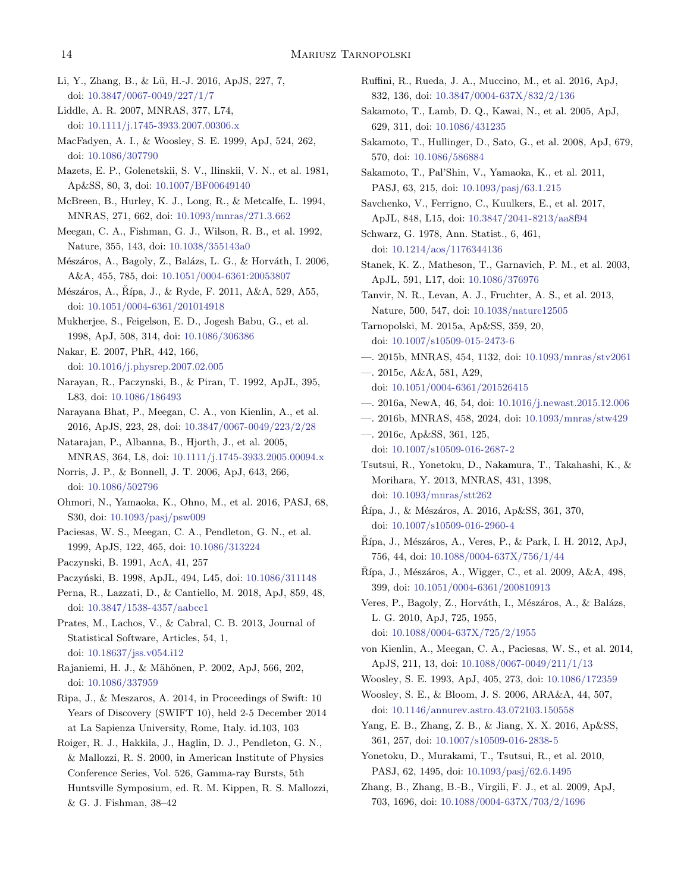- <span id="page-13-8"></span>Li, Y., Zhang, B., & Lü, H.-J. 2016, ApJS, 227, 7, doi: [10.3847/0067-0049/227/1/7](http://doi.org/10.3847/0067-0049/227/1/7)
- <span id="page-13-39"></span>Liddle, A. R. 2007, MNRAS, 377, L74, doi: [10.1111/j.1745-3933.2007.00306.x](http://doi.org/10.1111/j.1745-3933.2007.00306.x)
- <span id="page-13-5"></span>MacFadyen, A. I., & Woosley, S. E. 1999, ApJ, 524, 262, doi: [10.1086/307790](http://doi.org/10.1086/307790)
- <span id="page-13-0"></span>Mazets, E. P., Golenetskii, S. V., Ilinskii, V. N., et al. 1981, Ap&SS, 80, 3, doi: [10.1007/BF00649140](http://doi.org/10.1007/BF00649140)
- <span id="page-13-17"></span>McBreen, B., Hurley, K. J., Long, R., & Metcalfe, L. 1994, MNRAS, 271, 662, doi: [10.1093/mnras/271.3.662](http://doi.org/10.1093/mnras/271.3.662)
- <span id="page-13-18"></span>Meegan, C. A., Fishman, G. J., Wilson, R. B., et al. 1992, Nature, 355, 143, doi: [10.1038/355143a0](http://doi.org/10.1038/355143a0)
- <span id="page-13-44"></span>Mészáros, A., Bagoly, Z., Balázs, L. G., & Horváth, I. 2006, A&A, 455, 785, doi: [10.1051/0004-6361:20053807](http://doi.org/10.1051/0004-6361:20053807)
- <span id="page-13-47"></span>Mészáros, A., Řípa, J., & Ryde, F. 2011, A&A, 529, A55, doi: [10.1051/0004-6361/201014918](http://doi.org/10.1051/0004-6361/201014918)
- <span id="page-13-30"></span>Mukherjee, S., Feigelson, E. D., Jogesh Babu, G., et al. 1998, ApJ, 508, 314, doi: [10.1086/306386](http://doi.org/10.1086/306386)
- <span id="page-13-9"></span>Nakar, E. 2007, PhR, 442, 166, doi: [10.1016/j.physrep.2007.02.005](http://doi.org/10.1016/j.physrep.2007.02.005)
- <span id="page-13-2"></span>Narayan, R., Paczynski, B., & Piran, T. 1992, ApJL, 395, L83, doi: [10.1086/186493](http://doi.org/10.1086/186493)
- <span id="page-13-23"></span>Narayana Bhat, P., Meegan, C. A., von Kienlin, A., et al. 2016, ApJS, 223, 28, doi: [10.3847/0067-0049/223/2/28](http://doi.org/10.3847/0067-0049/223/2/28)
- <span id="page-13-46"></span>Natarajan, P., Albanna, B., Hjorth, J., et al. 2005, MNRAS, 364, L8, doi: [10.1111/j.1745-3933.2005.00094.x](http://doi.org/10.1111/j.1745-3933.2005.00094.x)
- <span id="page-13-36"></span>Norris, J. P., & Bonnell, J. T. 2006, ApJ, 643, 266, doi: [10.1086/502796](http://doi.org/10.1086/502796)
- <span id="page-13-27"></span>Ohmori, N., Yamaoka, K., Ohno, M., et al. 2016, PASJ, 68, S30, doi: [10.1093/pasj/psw009](http://doi.org/10.1093/pasj/psw009)
- <span id="page-13-19"></span>Paciesas, W. S., Meegan, C. A., Pendleton, G. N., et al. 1999, ApJS, 122, 465, doi: [10.1086/313224](http://doi.org/10.1086/313224)
- <span id="page-13-1"></span>Paczynski, B. 1991, AcA, 41, 257
- <span id="page-13-14"></span><span id="page-13-4"></span>Paczyński, B. 1998, ApJL, 494, L45, doi: [10.1086/311148](http://doi.org/10.1086/311148)
- Perna, R., Lazzati, D., & Cantiello, M. 2018, ApJ, 859, 48, doi: [10.3847/1538-4357/aabcc1](http://doi.org/10.3847/1538-4357/aabcc1)
- <span id="page-13-37"></span>Prates, M., Lachos, V., & Cabral, C. B. 2013, Journal of Statistical Software, Articles, 54, 1, doi: [10.18637/jss.v054.i12](http://doi.org/10.18637/jss.v054.i12)
- <span id="page-13-34"></span>Rajaniemi, H. J., & Mähönen, P. 2002, ApJ, 566, 202, doi: [10.1086/337959](http://doi.org/10.1086/337959)
- <span id="page-13-42"></span>Ripa, J., & Meszaros, A. 2014, in Proceedings of Swift: 10 Years of Discovery (SWIFT 10), held 2-5 December 2014 at La Sapienza University, Rome, Italy. id.103, 103
- <span id="page-13-35"></span>Roiger, R. J., Hakkila, J., Haglin, D. J., Pendleton, G. N., & Mallozzi, R. S. 2000, in American Institute of Physics Conference Series, Vol. 526, Gamma-ray Bursts, 5th Huntsville Symposium, ed. R. M. Kippen, R. S. Mallozzi, & G. J. Fishman, 38–42
- <span id="page-13-16"></span>Ruffini, R., Rueda, J. A., Muccino, M., et al. 2016, ApJ, 832, 136, doi: [10.3847/0004-637X/832/2/136](http://doi.org/10.3847/0004-637X/832/2/136)
- <span id="page-13-40"></span>Sakamoto, T., Lamb, D. Q., Kawai, N., et al. 2005, ApJ, 629, 311, doi: [10.1086/431235](http://doi.org/10.1086/431235)
- <span id="page-13-41"></span>Sakamoto, T., Hullinger, D., Sato, G., et al. 2008, ApJ, 679, 570, doi: [10.1086/586884](http://doi.org/10.1086/586884)
- <span id="page-13-45"></span>Sakamoto, T., Pal'Shin, V., Yamaoka, K., et al. 2011, PASJ, 63, 215, doi: [10.1093/pasj/63.1.215](http://doi.org/10.1093/pasj/63.1.215)
- <span id="page-13-11"></span>Savchenko, V., Ferrigno, C., Kuulkers, E., et al. 2017, ApJL, 848, L15, doi: [10.3847/2041-8213/aa8f94](http://doi.org/10.3847/2041-8213/aa8f94)
- <span id="page-13-38"></span>Schwarz, G. 1978, Ann. Statist., 6, 461, doi: [10.1214/aos/1176344136](http://doi.org/10.1214/aos/1176344136)
- <span id="page-13-12"></span>Stanek, K. Z., Matheson, T., Garnavich, P. M., et al. 2003, ApJL, 591, L17, doi: [10.1086/376976](http://doi.org/10.1086/376976)
- <span id="page-13-10"></span>Tanvir, N. R., Levan, A. J., Fruchter, A. S., et al. 2013, Nature, 500, 547, doi: [10.1038/nature12505](http://doi.org/10.1038/nature12505)
- <span id="page-13-6"></span>Tarnopolski, M. 2015a, Ap&SS, 359, 20, doi: [10.1007/s10509-015-2473-6](http://doi.org/10.1007/s10509-015-2473-6)
- <span id="page-13-7"></span>—. 2015b, MNRAS, 454, 1132, doi: [10.1093/mnras/stv2061](http://doi.org/10.1093/mnras/stv2061)
- <span id="page-13-20"></span>—. 2015c, A&A, 581, A29, doi: [10.1051/0004-6361/201526415](http://doi.org/10.1051/0004-6361/201526415)
- <span id="page-13-28"></span><span id="page-13-21"></span>—. 2016a, NewA, 46, 54, doi: [10.1016/j.newast.2015.12.006](http://doi.org/10.1016/j.newast.2015.12.006)
- —. 2016b, MNRAS, 458, 2024, doi: [10.1093/mnras/stw429](http://doi.org/10.1093/mnras/stw429)
- <span id="page-13-29"></span>—. 2016c, Ap&SS, 361, 125, doi: [10.1007/s10509-016-2687-2](http://doi.org/10.1007/s10509-016-2687-2)
- <span id="page-13-25"></span>Tsutsui, R., Yonetoku, D., Nakamura, T., Takahashi, K., & Morihara, Y. 2013, MNRAS, 431, 1398, doi: [10.1093/mnras/stt262](http://doi.org/10.1093/mnras/stt262)
- <span id="page-13-43"></span> $\dot{R}$ ípa, J., & Mészáros, A. 2016, Ap&SS, 361, 370, doi: [10.1007/s10509-016-2960-4](http://doi.org/10.1007/s10509-016-2960-4)
- <span id="page-13-32"></span>Rípa, J., Mészáros, A., Veres, P., & Park, I. H. 2012, ApJ, 756, 44, doi: [10.1088/0004-637X/756/1/44](http://doi.org/10.1088/0004-637X/756/1/44)
- <span id="page-13-26"></span> $\check{R}$ ípa, J., Mészáros, A., Wigger, C., et al. 2009, A&A, 498, 399, doi: [10.1051/0004-6361/200810913](http://doi.org/10.1051/0004-6361/200810913)
- <span id="page-13-31"></span>Veres, P., Bagoly, Z., Horváth, I., Mészáros, A., & Balázs, L. G. 2010, ApJ, 725, 1955, doi: [10.1088/0004-637X/725/2/1955](http://doi.org/10.1088/0004-637X/725/2/1955)
- <span id="page-13-22"></span>von Kienlin, A., Meegan, C. A., Paciesas, W. S., et al. 2014, ApJS, 211, 13, doi: [10.1088/0067-0049/211/1/13](http://doi.org/10.1088/0067-0049/211/1/13)
- <span id="page-13-3"></span>Woosley, S. E. 1993, ApJ, 405, 273, doi: [10.1086/172359](http://doi.org/10.1086/172359)
- <span id="page-13-13"></span>Woosley, S. E., & Bloom, J. S. 2006, ARA&A, 44, 507, doi: [10.1146/annurev.astro.43.072103.150558](http://doi.org/10.1146/annurev.astro.43.072103.150558)
- <span id="page-13-33"></span>Yang, E. B., Zhang, Z. B., & Jiang, X. X. 2016, Ap&SS, 361, 257, doi: [10.1007/s10509-016-2838-5](http://doi.org/10.1007/s10509-016-2838-5)
- <span id="page-13-24"></span>Yonetoku, D., Murakami, T., Tsutsui, R., et al. 2010, PASJ, 62, 1495, doi: [10.1093/pasj/62.6.1495](http://doi.org/10.1093/pasj/62.6.1495)
- <span id="page-13-15"></span>Zhang, B., Zhang, B.-B., Virgili, F. J., et al. 2009, ApJ, 703, 1696, doi: [10.1088/0004-637X/703/2/1696](http://doi.org/10.1088/0004-637X/703/2/1696)